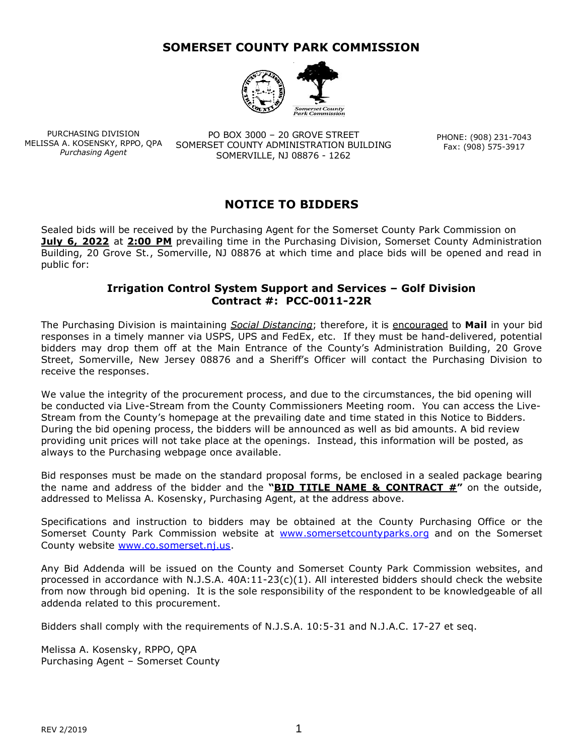

PURCHASING DIVISION MELISSA A. KOSENSKY, RPPO, QPA *Purchasing Agent*

PO BOX 3000 – 20 GROVE STREET SOMERSET COUNTY ADMINISTRATION BUILDING SOMERVILLE, NJ 08876 - 1262

PHONE: (908) 231-7043 Fax: (908) 575-3917

# **NOTICE TO BIDDERS**

Sealed bids will be received by the Purchasing Agent for the Somerset County Park Commission on **July 6, 2022** at 2:00 PM prevailing time in the Purchasing Division, Somerset County Administration Building, 20 Grove St., Somerville, NJ 08876 at which time and place bids will be opened and read in public for:

# **Irrigation Control System Support and Services – Golf Division Contract #: PCC-0011-22R**

The Purchasing Division is maintaining *Social Distancing*; therefore, it is encouraged to **Mail** in your bid responses in a timely manner via USPS, UPS and FedEx, etc. If they must be hand-delivered, potential bidders may drop them off at the Main Entrance of the County's Administration Building, 20 Grove Street, Somerville, New Jersey 08876 and a Sheriff's Officer will contact the Purchasing Division to receive the responses.

We value the integrity of the procurement process, and due to the circumstances, the bid opening will be conducted via Live-Stream from the County Commissioners Meeting room. You can access the Live-Stream from the County's homepage at the prevailing date and time stated in this Notice to Bidders. During the bid opening process, the bidders will be announced as well as bid amounts. A bid review providing unit prices will not take place at the openings. Instead, this information will be posted, as always to the Purchasing webpage once available.

Bid responses must be made on the standard proposal forms, be enclosed in a sealed package bearing the name and address of the bidder and the **"BID TITLE NAME & CONTRACT #"** on the outside, addressed to Melissa A. Kosensky, Purchasing Agent, at the address above.

Specifications and instruction to bidders may be obtained at the County Purchasing Office or the Somerset County Park Commission website at [www.somersetcountyparks.org](http://www.somersetcountyparks.org/) and on the Somerset County website [www.co.somerset.nj.us.](http://www.co.somerset.nj.us/)

Any Bid Addenda will be issued on the County and Somerset County Park Commission websites, and processed in accordance with N.J.S.A.  $40A:11-23(c)(1)$ . All interested bidders should check the website from now through bid opening. It is the sole responsibility of the respondent to be knowledgeable of all addenda related to this procurement.

Bidders shall comply with the requirements of N.J.S.A. 10:5-31 and N.J.A.C. 17-27 et seq.

Melissa A. Kosensky, RPPO, QPA Purchasing Agent – Somerset County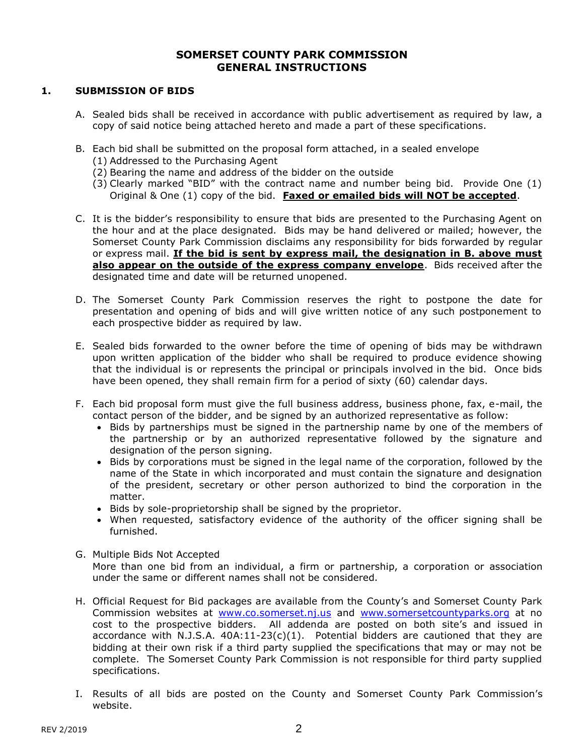# **SOMERSET COUNTY PARK COMMISSION GENERAL INSTRUCTIONS**

### **1. SUBMISSION OF BIDS**

- A. Sealed bids shall be received in accordance with public advertisement as required by law, a copy of said notice being attached hereto and made a part of these specifications.
- B. Each bid shall be submitted on the proposal form attached, in a sealed envelope
	- (1) Addressed to the Purchasing Agent
	- (2) Bearing the name and address of the bidder on the outside
	- (3) Clearly marked "BID" with the contract name and number being bid. Provide One (1) Original & One (1) copy of the bid. **Faxed or emailed bids will NOT be accepted**.
- C. It is the bidder's responsibility to ensure that bids are presented to the Purchasing Agent on the hour and at the place designated. Bids may be hand delivered or mailed; however, the Somerset County Park Commission disclaims any responsibility for bids forwarded by regular or express mail. **If the bid is sent by express mail, the designation in B. above must also appear on the outside of the express company envelope**. Bids received after the designated time and date will be returned unopened.
- D. The Somerset County Park Commission reserves the right to postpone the date for presentation and opening of bids and will give written notice of any such postponement to each prospective bidder as required by law.
- E. Sealed bids forwarded to the owner before the time of opening of bids may be withdrawn upon written application of the bidder who shall be required to produce evidence showing that the individual is or represents the principal or principals involved in the bid. Once bids have been opened, they shall remain firm for a period of sixty (60) calendar days.
- F. Each bid proposal form must give the full business address, business phone, fax, e-mail, the contact person of the bidder, and be signed by an authorized representative as follow:
	- Bids by partnerships must be signed in the partnership name by one of the members of the partnership or by an authorized representative followed by the signature and designation of the person signing.
	- Bids by corporations must be signed in the legal name of the corporation, followed by the name of the State in which incorporated and must contain the signature and designation of the president, secretary or other person authorized to bind the corporation in the matter.
	- Bids by sole-proprietorship shall be signed by the proprietor.
	- When requested, satisfactory evidence of the authority of the officer signing shall be furnished.
- G. Multiple Bids Not Accepted

More than one bid from an individual, a firm or partnership, a corporation or association under the same or different names shall not be considered.

- H. Official Request for Bid packages are available from the County's and Somerset County Park Commission websites at [www.co.somerset.nj.us](http://www.co.somerset.nj.us/) and [www.somersetcountyparks.org](http://www.somersetcountyparks.org/) at no cost to the prospective bidders. All addenda are posted on both site's and issued in accordance with N.J.S.A.  $40A:11-23(c)(1)$ . Potential bidders are cautioned that they are bidding at their own risk if a third party supplied the specifications that may or may not be complete. The Somerset County Park Commission is not responsible for third party supplied specifications.
- I. Results of all bids are posted on the County and Somerset County Park Commission's website.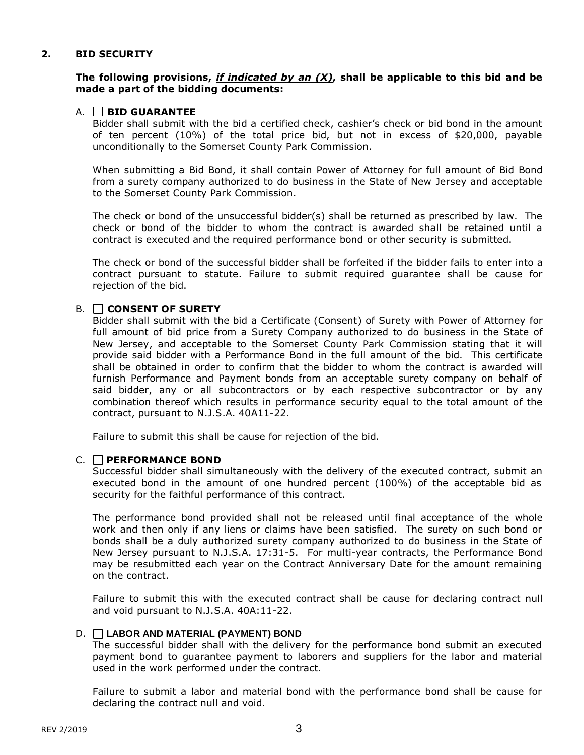#### **2. BID SECURITY**

#### **The following provisions,** *if indicated by an (X)***, shall be applicable to this bid and be made a part of the bidding documents:**

#### A. **BID GUARANTEE**

Bidder shall submit with the bid a certified check, cashier's check or bid bond in the amount of ten percent (10%) of the total price bid, but not in excess of \$20,000, payable unconditionally to the Somerset County Park Commission.

When submitting a Bid Bond, it shall contain Power of Attorney for full amount of Bid Bond from a surety company authorized to do business in the State of New Jersey and acceptable to the Somerset County Park Commission.

The check or bond of the unsuccessful bidder(s) shall be returned as prescribed by law. The check or bond of the bidder to whom the contract is awarded shall be retained until a contract is executed and the required performance bond or other security is submitted.

The check or bond of the successful bidder shall be forfeited if the bidder fails to enter into a contract pursuant to statute. Failure to submit required guarantee shall be cause for rejection of the bid.

#### B. **CONSENT OF SURETY**

Bidder shall submit with the bid a Certificate (Consent) of Surety with Power of Attorney for full amount of bid price from a Surety Company authorized to do business in the State of New Jersey, and acceptable to the Somerset County Park Commission stating that it will provide said bidder with a Performance Bond in the full amount of the bid. This certificate shall be obtained in order to confirm that the bidder to whom the contract is awarded will furnish Performance and Payment bonds from an acceptable surety company on behalf of said bidder, any or all subcontractors or by each respective subcontractor or by any combination thereof which results in performance security equal to the total amount of the contract, pursuant to N.J.S.A. 40A11-22.

Failure to submit this shall be cause for rejection of the bid.

#### C. **PERFORMANCE BOND**

Successful bidder shall simultaneously with the delivery of the executed contract, submit an executed bond in the amount of one hundred percent (100%) of the acceptable bid as security for the faithful performance of this contract.

The performance bond provided shall not be released until final acceptance of the whole work and then only if any liens or claims have been satisfied. The surety on such bond or bonds shall be a duly authorized surety company authorized to do business in the State of New Jersey pursuant to N.J.S.A. 17:31-5. For multi-year contracts, the Performance Bond may be resubmitted each year on the Contract Anniversary Date for the amount remaining on the contract.

Failure to submit this with the executed contract shall be cause for declaring contract null and void pursuant to N.J.S.A. 40A:11-22.

#### D. **LABOR AND MATERIAL (PAYMENT) BOND**

The successful bidder shall with the delivery for the performance bond submit an executed payment bond to guarantee payment to laborers and suppliers for the labor and material used in the work performed under the contract.

Failure to submit a labor and material bond with the performance bond shall be cause for declaring the contract null and void.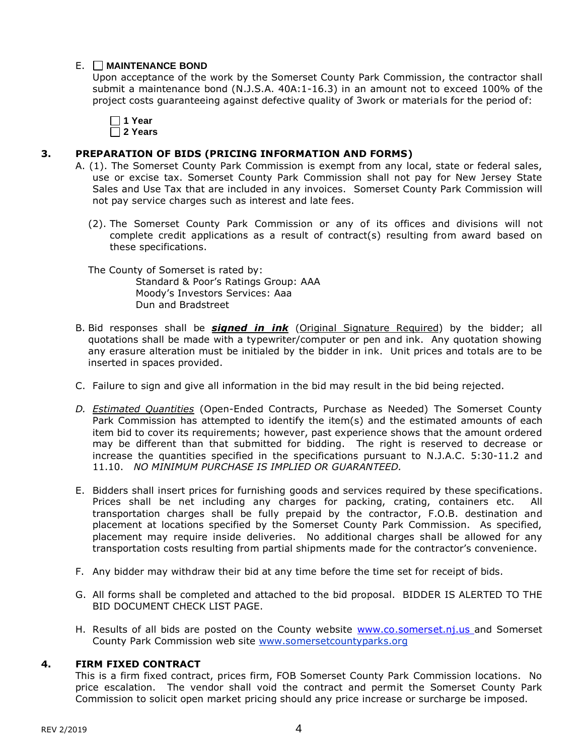## E. **MAINTENANCE BOND**

Upon acceptance of the work by the Somerset County Park Commission, the contractor shall submit a maintenance bond (N.J.S.A. 40A:1-16.3) in an amount not to exceed 100% of the project costs guaranteeing against defective quality of 3work or materials for the period of:

|  | 1 Year  |
|--|---------|
|  | 2 Years |

# **3. PREPARATION OF BIDS (PRICING INFORMATION AND FORMS)**

- A. (1). The Somerset County Park Commission is exempt from any local, state or federal sales, use or excise tax. Somerset County Park Commission shall not pay for New Jersey State Sales and Use Tax that are included in any invoices. Somerset County Park Commission will not pay service charges such as interest and late fees.
	- (2). The Somerset County Park Commission or any of its offices and divisions will not complete credit applications as a result of contract(s) resulting from award based on these specifications.

The County of Somerset is rated by: Standard & Poor's Ratings Group: AAA Moody's Investors Services: Aaa Dun and Bradstreet

- B. Bid responses shall be *signed in ink* (Original Signature Required) by the bidder; all quotations shall be made with a typewriter/computer or pen and ink. Any quotation showing any erasure alteration must be initialed by the bidder in ink. Unit prices and totals are to be inserted in spaces provided.
- C. Failure to sign and give all information in the bid may result in the bid being rejected.
- *D. Estimated Quantities* (Open-Ended Contracts, Purchase as Needed) The Somerset County Park Commission has attempted to identify the item(s) and the estimated amounts of each item bid to cover its requirements; however, past experience shows that the amount ordered may be different than that submitted for bidding. The right is reserved to decrease or increase the quantities specified in the specifications pursuant to N.J.A.C. 5:30-11.2 and 11.10. *NO MINIMUM PURCHASE IS IMPLIED OR GUARANTEED.*
- E. Bidders shall insert prices for furnishing goods and services required by these specifications. Prices shall be net including any charges for packing, crating, containers etc. All transportation charges shall be fully prepaid by the contractor, F.O.B. destination and placement at locations specified by the Somerset County Park Commission. As specified, placement may require inside deliveries. No additional charges shall be allowed for any transportation costs resulting from partial shipments made for the contractor's convenience.
- F. Any bidder may withdraw their bid at any time before the time set for receipt of bids.
- G. All forms shall be completed and attached to the bid proposal. BIDDER IS ALERTED TO THE BID DOCUMENT CHECK LIST PAGE.
- H. Results of all bids are posted on the County website **www.co.somerset.nj.us** and Somerset County Park Commission web site [www.somersetc](http://www.somerset/)ountyparks.org

#### **4. FIRM FIXED CONTRACT**

This is a firm fixed contract, prices firm, FOB Somerset County Park Commission locations. No price escalation. The vendor shall void the contract and permit the Somerset County Park Commission to solicit open market pricing should any price increase or surcharge be imposed.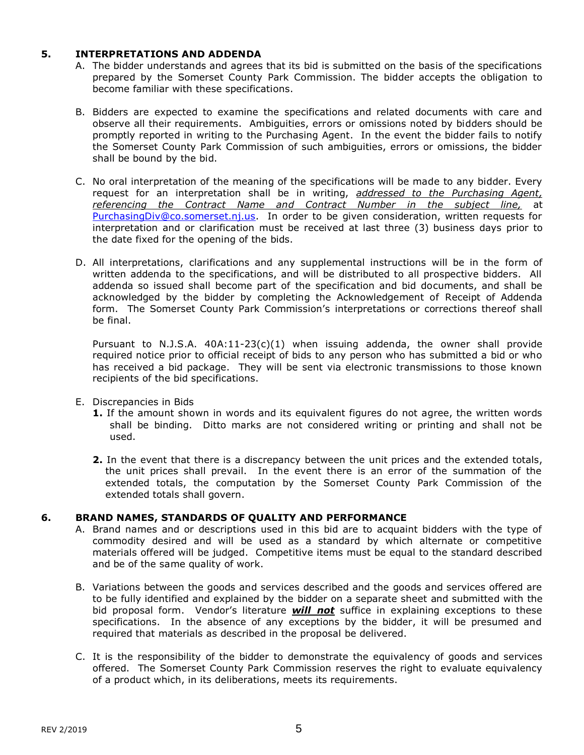#### **5. INTERPRETATIONS AND ADDENDA**

- A. The bidder understands and agrees that its bid is submitted on the basis of the specifications prepared by the Somerset County Park Commission. The bidder accepts the obligation to become familiar with these specifications.
- B. Bidders are expected to examine the specifications and related documents with care and observe all their requirements. Ambiguities, errors or omissions noted by bidders should be promptly reported in writing to the Purchasing Agent. In the event the bidder fails to notify the Somerset County Park Commission of such ambiguities, errors or omissions, the bidder shall be bound by the bid.
- C. No oral interpretation of the meaning of the specifications will be made to any bidder. Every request for an interpretation shall be in writing, *addressed to the Purchasing Agent, referencing the Contract Name and Contract Number in the subject line,* at [PurchasingDiv@co.somerset.nj.us.](mailto:PurchasingDiv@co.somerset.nj.us) In order to be given consideration, written requests for interpretation and or clarification must be received at last three (3) business days prior to the date fixed for the opening of the bids.
- D. All interpretations, clarifications and any supplemental instructions will be in the form of written addenda to the specifications, and will be distributed to all prospective bidders. All addenda so issued shall become part of the specification and bid documents, and shall be acknowledged by the bidder by completing the Acknowledgement of Receipt of Addenda form. The Somerset County Park Commission's interpretations or corrections thereof shall be final.

Pursuant to N.J.S.A.  $40A:11-23(c)(1)$  when issuing addenda, the owner shall provide required notice prior to official receipt of bids to any person who has submitted a bid or who has received a bid package. They will be sent via electronic transmissions to those known recipients of the bid specifications.

- E. Discrepancies in Bids
	- **1.** If the amount shown in words and its equivalent figures do not agree, the written words shall be binding. Ditto marks are not considered writing or printing and shall not be used.
	- **2.** In the event that there is a discrepancy between the unit prices and the extended totals, the unit prices shall prevail. In the event there is an error of the summation of the extended totals, the computation by the Somerset County Park Commission of the extended totals shall govern.

#### **6. BRAND NAMES, STANDARDS OF QUALITY AND PERFORMANCE**

- A. Brand names and or descriptions used in this bid are to acquaint bidders with the type of commodity desired and will be used as a standard by which alternate or competitive materials offered will be judged. Competitive items must be equal to the standard described and be of the same quality of work.
- B. Variations between the goods and services described and the goods and services offered are to be fully identified and explained by the bidder on a separate sheet and submitted with the bid proposal form. Vendor's literature *will not* suffice in explaining exceptions to these specifications. In the absence of any exceptions by the bidder, it will be presumed and required that materials as described in the proposal be delivered.
- C. It is the responsibility of the bidder to demonstrate the equivalency of goods and services offered. The Somerset County Park Commission reserves the right to evaluate equivalency of a product which, in its deliberations, meets its requirements.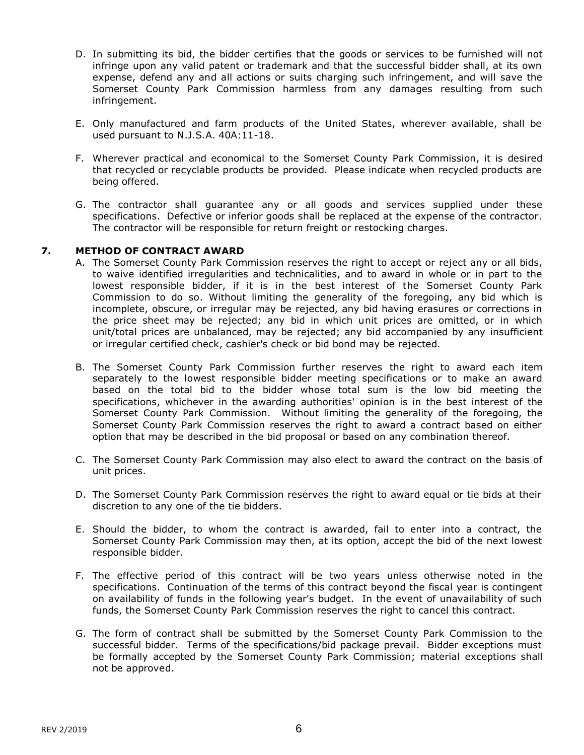- D. In submitting its bid, the bidder certifies that the goods or services to be furnished will not infringe upon any valid patent or trademark and that the successful bidder shall, at its own expense, defend any and all actions or suits charging such infringement, and will save the Somerset County Park Commission harmless from any damages resulting from such infringement.
- E. Only manufactured and farm products of the United States, wherever available, shall be used pursuant to N.J.S.A. 40A:11-18.
- F. Wherever practical and economical to the Somerset County Park Commission, it is desired that recycled or recyclable products be provided. Please indicate when recycled products are being offered.
- G. The contractor shall guarantee any or all goods and services supplied under these specifications. Defective or inferior goods shall be replaced at the expense of the contractor. The contractor will be responsible for return freight or restocking charges.

#### **7. METHOD OF CONTRACT AWARD**

- A. The Somerset County Park Commission reserves the right to accept or reject any or all bids, to waive identified irregularities and technicalities, and to award in whole or in part to the lowest responsible bidder, if it is in the best interest of the Somerset County Park Commission to do so. Without limiting the generality of the foregoing, any bid which is incomplete, obscure, or irregular may be rejected, any bid having erasures or corrections in the price sheet may be rejected; any bid in which unit prices are omitted, or in which unit/total prices are unbalanced, may be rejected; any bid accompanied by any insufficient or irregular certified check, cashier's check or bid bond may be rejected.
- B. The Somerset County Park Commission further reserves the right to award each item separately to the lowest responsible bidder meeting specifications or to make an award based on the total bid to the bidder whose total sum is the low bid meeting the specifications, whichever in the awarding authorities' opinion is in the best interest of the Somerset County Park Commission. Without limiting the generality of the foregoing, the Somerset County Park Commission reserves the right to award a contract based on either option that may be described in the bid proposal or based on any combination thereof.
- C. The Somerset County Park Commission may also elect to award the contract on the basis of unit prices.
- D. The Somerset County Park Commission reserves the right to award equal or tie bids at their discretion to any one of the tie bidders.
- E. Should the bidder, to whom the contract is awarded, fail to enter into a contract, the Somerset County Park Commission may then, at its option, accept the bid of the next lowest responsible bidder.
- F. The effective period of this contract will be two years unless otherwise noted in the specifications. Continuation of the terms of this contract beyond the fiscal year is contingent on availability of funds in the following year's budget. In the event of unavailability of such funds, the Somerset County Park Commission reserves the right to cancel this contract.
- G. The form of contract shall be submitted by the Somerset County Park Commission to the successful bidder. Terms of the specifications/bid package prevail. Bidder exceptions must be formally accepted by the Somerset County Park Commission; material exceptions shall not be approved.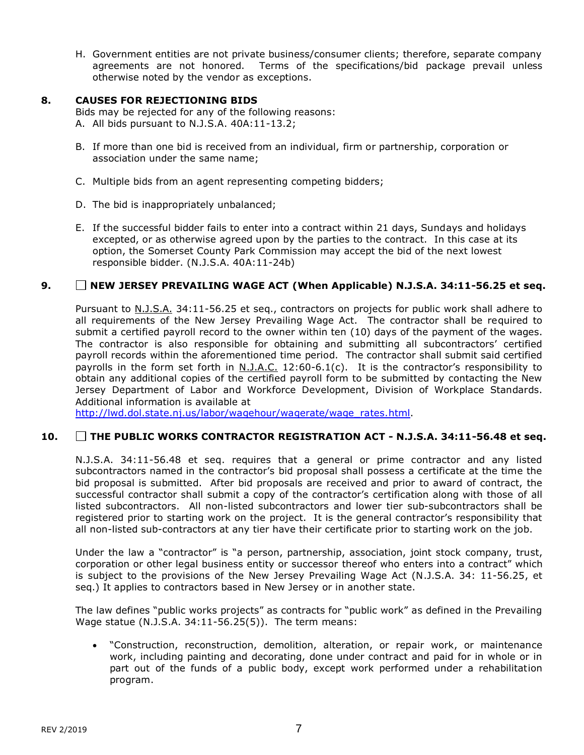H. Government entities are not private business/consumer clients; therefore, separate company agreements are not honored. Terms of the specifications/bid package prevail unless otherwise noted by the vendor as exceptions.

# **8. CAUSES FOR REJECTIONING BIDS**

Bids may be rejected for any of the following reasons: A. All bids pursuant to N.J.S.A. 40A:11-13.2;

- B. If more than one bid is received from an individual, firm or partnership, corporation or association under the same name;
- C. Multiple bids from an agent representing competing bidders;
- D. The bid is inappropriately unbalanced;
- E. If the successful bidder fails to enter into a contract within 21 days, Sundays and holidays excepted, or as otherwise agreed upon by the parties to the contract. In this case at its option, the Somerset County Park Commission may accept the bid of the next lowest responsible bidder. (N.J.S.A. 40A:11-24b)

# **9. NEW JERSEY PREVAILING WAGE ACT (When Applicable) N.J.S.A. 34:11-56.25 et seq.**

Pursuant to N.J.S.A. 34:11-56.25 et seq., contractors on projects for public work shall adhere to all requirements of the New Jersey Prevailing Wage Act. The contractor shall be required to submit a certified payroll record to the owner within ten (10) days of the payment of the wages. The contractor is also responsible for obtaining and submitting all subcontractors' certified payroll records within the aforementioned time period. The contractor shall submit said certified payrolls in the form set forth in  $N.J.A.C.$  12:60-6.1(c). It is the contractor's responsibility to obtain any additional copies of the certified payroll form to be submitted by contacting the New Jersey Department of Labor and Workforce Development, Division of Workplace Standards. Additional information is available at

[http://lwd.dol.state.nj.us/labor/wagehour/wagerate/wage\\_rates.html.](http://lwd.dol.state.nj.us/labor/wagehour/wagerate/wage_rates.html)

#### **10. THE PUBLIC WORKS CONTRACTOR REGISTRATION ACT - N.J.S.A. 34:11-56.48 et seq.**

N.J.S.A. 34:11-56.48 et seq. requires that a general or prime contractor and any listed subcontractors named in the contractor's bid proposal shall possess a certificate at the time the bid proposal is submitted. After bid proposals are received and prior to award of contract, the successful contractor shall submit a copy of the contractor's certification along with those of all listed subcontractors. All non-listed subcontractors and lower tier sub-subcontractors shall be registered prior to starting work on the project. It is the general contractor's responsibility that all non-listed sub-contractors at any tier have their certificate prior to starting work on the job.

Under the law a "contractor" is "a person, partnership, association, joint stock company, trust, corporation or other legal business entity or successor thereof who enters into a contract" which is subject to the provisions of the New Jersey Prevailing Wage Act (N.J.S.A. 34: 11-56.25, et seq.) It applies to contractors based in New Jersey or in another state.

The law defines "public works projects" as contracts for "public work" as defined in the Prevailing Wage statue (N.J.S.A. 34:11-56.25(5)). The term means:

• "Construction, reconstruction, demolition, alteration, or repair work, or maintenance work, including painting and decorating, done under contract and paid for in whole or in part out of the funds of a public body, except work performed under a rehabilitation program.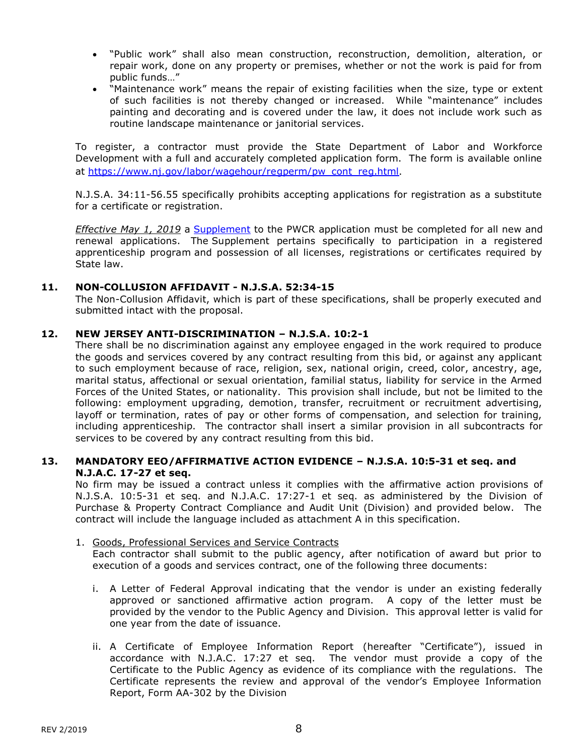- "Public work" shall also mean construction, reconstruction, demolition, alteration, or repair work, done on any property or premises, whether or not the work is paid for from public funds…"
- "Maintenance work" means the repair of existing facilities when the size, type or extent of such facilities is not thereby changed or increased. While "maintenance" includes painting and decorating and is covered under the law, it does not include work such as routine landscape maintenance or janitorial services.

To register, a contractor must provide the State Department of Labor and Workforce Development with a full and accurately completed application form. The form is available online at [https://www.nj.gov/labor/wagehour/regperm/pw\\_cont\\_reg.html](https://www.nj.gov/labor/wagehour/regperm/pw_cont_reg.html).

N.J.S.A. 34:11-56.55 specifically prohibits accepting applications for registration as a substitute for a certificate or registration.

*Effective May 1, 2019* a [Supplement](https://www.nj.gov/labor/forms_pdfs/lsse/LSSE2appsupp.pdf?exit=Send+Supplement) to the PWCR application must be completed for all new and renewal applications. The Supplement pertains specifically to participation in a registered apprenticeship program and possession of all licenses, registrations or certificates required by State law.

#### **11. NON-COLLUSION AFFIDAVIT - N.J.S.A. 52:34-15**

The Non-Collusion Affidavit, which is part of these specifications, shall be properly executed and submitted intact with the proposal.

#### **12. NEW JERSEY ANTI-DISCRIMINATION – N.J.S.A. 10:2-1**

There shall be no discrimination against any employee engaged in the work required to produce the goods and services covered by any contract resulting from this bid, or against any applicant to such employment because of race, religion, sex, national origin, creed, color, ancestry, age, marital status, affectional or sexual orientation, familial status, liability for service in the Armed Forces of the United States, or nationality. This provision shall include, but not be limited to the following: employment upgrading, demotion, transfer, recruitment or recruitment advertising, layoff or termination, rates of pay or other forms of compensation, and selection for training, including apprenticeship. The contractor shall insert a similar provision in all subcontracts for services to be covered by any contract resulting from this bid.

### **13. MANDATORY EEO/AFFIRMATIVE ACTION EVIDENCE – N.J.S.A. 10:5-31 et seq. and N.J.A.C. 17-27 et seq.**

No firm may be issued a contract unless it complies with the affirmative action provisions of N.J.S.A. 10:5-31 et seq. and N.J.A.C. 17:27-1 et seq. as administered by the Division of Purchase & Property Contract Compliance and Audit Unit (Division) and provided below. The contract will include the language included as attachment A in this specification.

- 1. Goods, Professional Services and Service Contracts Each contractor shall submit to the public agency, after notification of award but prior to execution of a goods and services contract, one of the following three documents:
	- i. A Letter of Federal Approval indicating that the vendor is under an existing federally approved or sanctioned affirmative action program. A copy of the letter must be provided by the vendor to the Public Agency and Division. This approval letter is valid for one year from the date of issuance.
	- ii. A Certificate of Employee Information Report (hereafter "Certificate"), issued in accordance with N.J.A.C. 17:27 et seq. The vendor must provide a copy of the Certificate to the Public Agency as evidence of its compliance with the regulations. The Certificate represents the review and approval of the vendor's Employee Information Report, Form AA-302 by the Division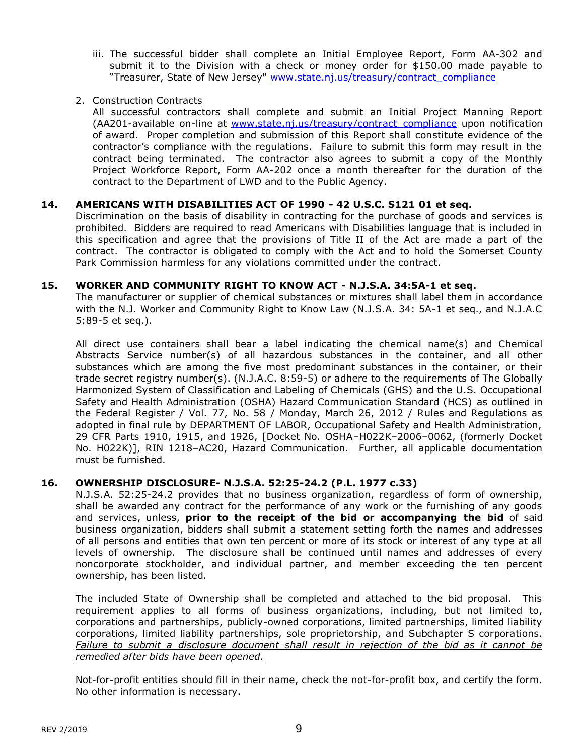- iii. The successful bidder shall complete an Initial Employee Report, Form AA-302 and submit it to the Division with a check or money order for \$150.00 made payable to "Treasurer, State of New Jersey" [www.state.nj.us/treasury/contract\\_compliance](http://www.state.nj.us/treasury/contract_compliance)
- 2. Construction Contracts

All successful contractors shall complete and submit an Initial Project Manning Report (AA201-available on-line at [www.state.nj.us/treasury/contract\\_compliance](http://www.state.nj.us/treasury/contract_compliance) upon notification of award. Proper completion and submission of this Report shall constitute evidence of the contractor's compliance with the regulations. Failure to submit this form may result in the contract being terminated. The contractor also agrees to submit a copy of the Monthly Project Workforce Report, Form AA-202 once a month thereafter for the duration of the contract to the Department of LWD and to the Public Agency.

# **14. AMERICANS WITH DISABILITIES ACT OF 1990 - 42 U.S.C. S121 01 et seq.**

Discrimination on the basis of disability in contracting for the purchase of goods and services is prohibited. Bidders are required to read Americans with Disabilities language that is included in this specification and agree that the provisions of Title II of the Act are made a part of the contract. The contractor is obligated to comply with the Act and to hold the Somerset County Park Commission harmless for any violations committed under the contract.

#### **15. WORKER AND COMMUNITY RIGHT TO KNOW ACT - N.J.S.A. 34:5A-1 et seq.**

The manufacturer or supplier of chemical substances or mixtures shall label them in accordance with the N.J. Worker and Community Right to Know Law (N.J.S.A. 34: 5A-1 et seq., and N.J.A.C 5:89-5 et seq.).

All direct use containers shall bear a label indicating the chemical name(s) and Chemical Abstracts Service number(s) of all hazardous substances in the container, and all other substances which are among the five most predominant substances in the container, or their trade secret registry number(s). (N.J.A.C. 8:59-5) or adhere to the requirements of The Globally Harmonized System of Classification and Labeling of Chemicals (GHS) and the U.S. Occupational Safety and Health Administration (OSHA) Hazard Communication Standard (HCS) as outlined in the Federal Register / Vol. 77, No. 58 / Monday, March 26, 2012 / Rules and Regulations as adopted in final rule by DEPARTMENT OF LABOR, Occupational Safety and Health Administration, 29 CFR Parts 1910, 1915, and 1926, [Docket No. OSHA–H022K–2006–0062, (formerly Docket No. H022K)], RIN 1218–AC20, Hazard Communication. Further, all applicable documentation must be furnished.

#### **16. OWNERSHIP DISCLOSURE- N.J.S.A. 52:25-24.2 (P.L. 1977 c.33)**

N.J.S.A. 52:25-24.2 provides that no business organization, regardless of form of ownership, shall be awarded any contract for the performance of any work or the furnishing of any goods and services, unless, **prior to the receipt of the bid or accompanying the bid** of said business organization, bidders shall submit a statement setting forth the names and addresses of all persons and entities that own ten percent or more of its stock or interest of any type at all levels of ownership. The disclosure shall be continued until names and addresses of every noncorporate stockholder, and individual partner, and member exceeding the ten percent ownership, has been listed.

The included State of Ownership shall be completed and attached to the bid proposal. This requirement applies to all forms of business organizations, including, but not limited to, corporations and partnerships, publicly-owned corporations, limited partnerships, limited liability corporations, limited liability partnerships, sole proprietorship, and Subchapter S corporations. *Failure to submit a disclosure document shall result in rejection of the bid as it cannot be remedied after bids have been opened.*

Not-for-profit entities should fill in their name, check the not-for-profit box, and certify the form. No other information is necessary.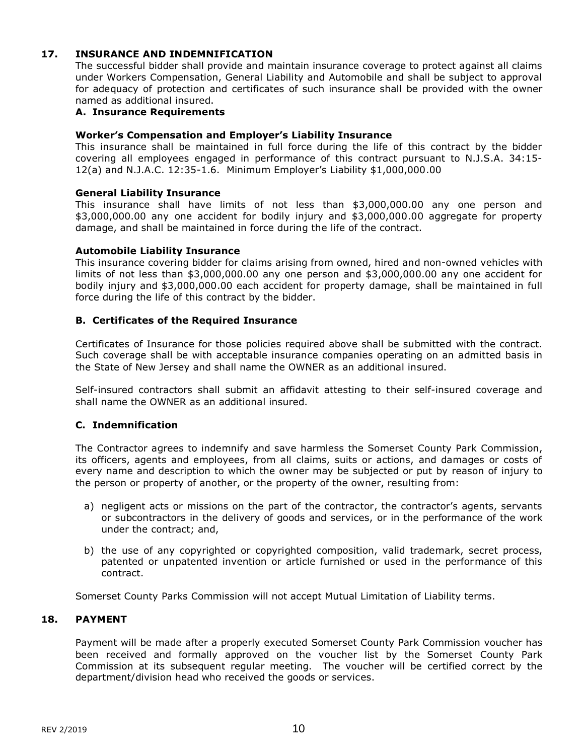# **17. INSURANCE AND INDEMNIFICATION**

The successful bidder shall provide and maintain insurance coverage to protect against all claims under Workers Compensation, General Liability and Automobile and shall be subject to approval for adequacy of protection and certificates of such insurance shall be provided with the owner named as additional insured.

### **A. Insurance Requirements**

#### **Worker's Compensation and Employer's Liability Insurance**

This insurance shall be maintained in full force during the life of this contract by the bidder covering all employees engaged in performance of this contract pursuant to N.J.S.A. 34:15- 12(a) and N.J.A.C. 12:35-1.6. Minimum Employer's Liability \$1,000,000.00

#### **General Liability Insurance**

This insurance shall have limits of not less than \$3,000,000.00 any one person and \$3,000,000.00 any one accident for bodily injury and \$3,000,000.00 aggregate for property damage, and shall be maintained in force during the life of the contract.

#### **Automobile Liability Insurance**

This insurance covering bidder for claims arising from owned, hired and non-owned vehicles with limits of not less than \$3,000,000.00 any one person and \$3,000,000.00 any one accident for bodily injury and \$3,000,000.00 each accident for property damage, shall be maintained in full force during the life of this contract by the bidder.

#### **B. Certificates of the Required Insurance**

Certificates of Insurance for those policies required above shall be submitted with the contract. Such coverage shall be with acceptable insurance companies operating on an admitted basis in the State of New Jersey and shall name the OWNER as an additional insured.

Self-insured contractors shall submit an affidavit attesting to their self-insured coverage and shall name the OWNER as an additional insured.

#### **C. Indemnification**

The Contractor agrees to indemnify and save harmless the Somerset County Park Commission, its officers, agents and employees, from all claims, suits or actions, and damages or costs of every name and description to which the owner may be subjected or put by reason of injury to the person or property of another, or the property of the owner, resulting from:

- a) negligent acts or missions on the part of the contractor, the contractor's agents, servants or subcontractors in the delivery of goods and services, or in the performance of the work under the contract; and,
- b) the use of any copyrighted or copyrighted composition, valid trademark, secret process, patented or unpatented invention or article furnished or used in the performance of this contract.

Somerset County Parks Commission will not accept Mutual Limitation of Liability terms.

# **18. PAYMENT**

Payment will be made after a properly executed Somerset County Park Commission voucher has been received and formally approved on the voucher list by the Somerset County Park Commission at its subsequent regular meeting. The voucher will be certified correct by the department/division head who received the goods or services.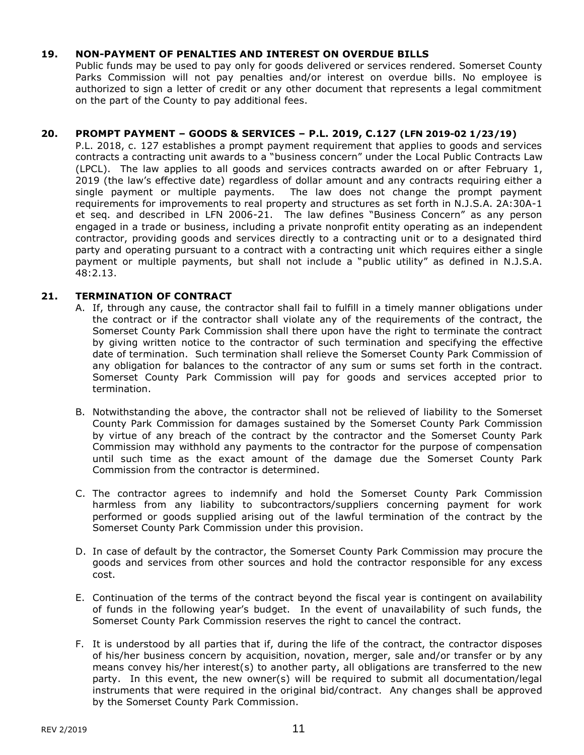### **19. NON-PAYMENT OF PENALTIES AND INTEREST ON OVERDUE BILLS**

Public funds may be used to pay only for goods delivered or services rendered. Somerset County Parks Commission will not pay penalties and/or interest on overdue bills. No employee is authorized to sign a letter of credit or any other document that represents a legal commitment on the part of the County to pay additional fees.

# **20. PROMPT PAYMENT – GOODS & SERVICES – P.L. 2019, C.127 (LFN 2019-02 1/23/19)**

P.L. 2018, c. 127 establishes a prompt payment requirement that applies to goods and services contracts a contracting unit awards to a "business concern" under the Local Public Contracts Law (LPCL). The law applies to all goods and services contracts awarded on or after February 1, 2019 (the law's effective date) regardless of dollar amount and any contracts requiring either a single payment or multiple payments. The law does not change the prompt payment requirements for improvements to real property and structures as set forth in N.J.S.A. 2A:30A-1 et seq. and described in LFN 2006-21. The law defines "Business Concern" as any person engaged in a trade or business, including a private nonprofit entity operating as an independent contractor, providing goods and services directly to a contracting unit or to a designated third party and operating pursuant to a contract with a contracting unit which requires either a single payment or multiple payments, but shall not include a "public utility" as defined in N.J.S.A. 48:2.13.

# **21. TERMINATION OF CONTRACT**

- A. If, through any cause, the contractor shall fail to fulfill in a timely manner obligations under the contract or if the contractor shall violate any of the requirements of the contract, the Somerset County Park Commission shall there upon have the right to terminate the contract by giving written notice to the contractor of such termination and specifying the effective date of termination. Such termination shall relieve the Somerset County Park Commission of any obligation for balances to the contractor of any sum or sums set forth in the contract. Somerset County Park Commission will pay for goods and services accepted prior to termination.
- B. Notwithstanding the above, the contractor shall not be relieved of liability to the Somerset County Park Commission for damages sustained by the Somerset County Park Commission by virtue of any breach of the contract by the contractor and the Somerset County Park Commission may withhold any payments to the contractor for the purpose of compensation until such time as the exact amount of the damage due the Somerset County Park Commission from the contractor is determined.
- C. The contractor agrees to indemnify and hold the Somerset County Park Commission harmless from any liability to subcontractors/suppliers concerning payment for work performed or goods supplied arising out of the lawful termination of the contract by the Somerset County Park Commission under this provision.
- D. In case of default by the contractor, the Somerset County Park Commission may procure the goods and services from other sources and hold the contractor responsible for any excess cost.
- E. Continuation of the terms of the contract beyond the fiscal year is contingent on availability of funds in the following year's budget. In the event of unavailability of such funds, the Somerset County Park Commission reserves the right to cancel the contract.
- F. It is understood by all parties that if, during the life of the contract, the contractor disposes of his/her business concern by acquisition, novation, merger, sale and/or transfer or by any means convey his/her interest(s) to another party, all obligations are transferred to the new party. In this event, the new owner(s) will be required to submit all documentation/legal instruments that were required in the original bid/contract. Any changes shall be approved by the Somerset County Park Commission.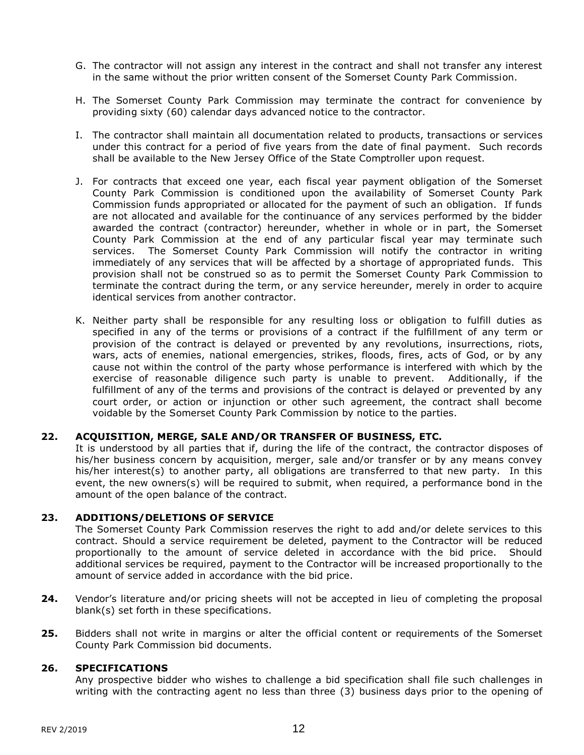- G. The contractor will not assign any interest in the contract and shall not transfer any interest in the same without the prior written consent of the Somerset County Park Commission.
- H. The Somerset County Park Commission may terminate the contract for convenience by providing sixty (60) calendar days advanced notice to the contractor.
- I. The contractor shall maintain all documentation related to products, transactions or services under this contract for a period of five years from the date of final payment. Such records shall be available to the New Jersey Office of the State Comptroller upon request.
- J. For contracts that exceed one year, each fiscal year payment obligation of the Somerset County Park Commission is conditioned upon the availability of Somerset County Park Commission funds appropriated or allocated for the payment of such an obligation. If funds are not allocated and available for the continuance of any services performed by the bidder awarded the contract (contractor) hereunder, whether in whole or in part, the Somerset County Park Commission at the end of any particular fiscal year may terminate such services. The Somerset County Park Commission will notify the contractor in writing immediately of any services that will be affected by a shortage of appropriated funds. This provision shall not be construed so as to permit the Somerset County Park Commission to terminate the contract during the term, or any service hereunder, merely in order to acquire identical services from another contractor.
- K. Neither party shall be responsible for any resulting loss or obligation to fulfill duties as specified in any of the terms or provisions of a contract if the fulfillment of any term or provision of the contract is delayed or prevented by any revolutions, insurrections, riots, wars, acts of enemies, national emergencies, strikes, floods, fires, acts of God, or by any cause not within the control of the party whose performance is interfered with which by the exercise of reasonable diligence such party is unable to prevent. Additionally, if the fulfillment of any of the terms and provisions of the contract is delayed or prevented by any court order, or action or injunction or other such agreement, the contract shall become voidable by the Somerset County Park Commission by notice to the parties.

#### **22. ACQUISITION, MERGE, SALE AND/OR TRANSFER OF BUSINESS, ETC.**

It is understood by all parties that if, during the life of the contract, the contractor disposes of his/her business concern by acquisition, merger, sale and/or transfer or by any means convey his/her interest(s) to another party, all obligations are transferred to that new party. In this event, the new owners(s) will be required to submit, when required, a performance bond in the amount of the open balance of the contract.

#### **23. ADDITIONS/DELETIONS OF SERVICE**

The Somerset County Park Commission reserves the right to add and/or delete services to this contract. Should a service requirement be deleted, payment to the Contractor will be reduced proportionally to the amount of service deleted in accordance with the bid price. Should additional services be required, payment to the Contractor will be increased proportionally to the amount of service added in accordance with the bid price.

- **24.** Vendor's literature and/or pricing sheets will not be accepted in lieu of completing the proposal blank(s) set forth in these specifications.
- **25.** Bidders shall not write in margins or alter the official content or requirements of the Somerset County Park Commission bid documents.

#### **26. SPECIFICATIONS**

Any prospective bidder who wishes to challenge a bid specification shall file such challenges in writing with the contracting agent no less than three (3) business days prior to the opening of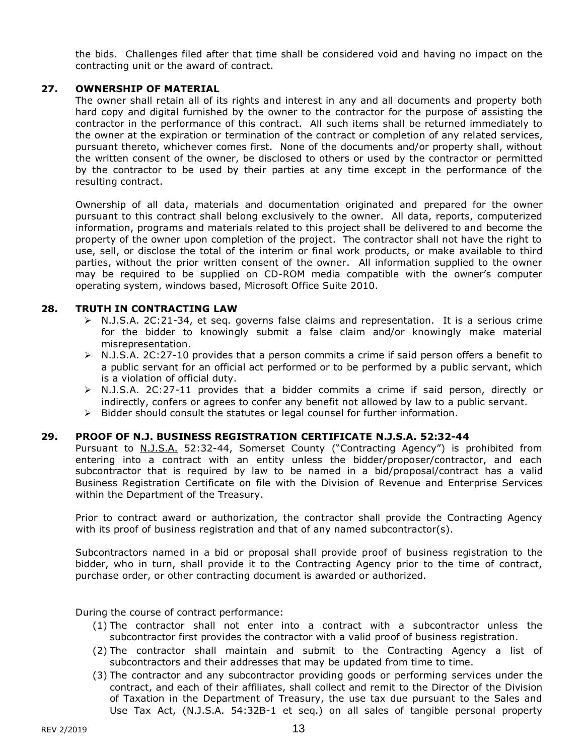the bids. Challenges filed after that time shall be considered void and having no impact on the contracting unit or the award of contract.

### **27. OWNERSHIP OF MATERIAL**

The owner shall retain all of its rights and interest in any and all documents and property both hard copy and digital furnished by the owner to the contractor for the purpose of assisting the contractor in the performance of this contract. All such items shall be returned immediately to the owner at the expiration or termination of the contract or completion of any related services, pursuant thereto, whichever comes first. None of the documents and/or property shall, without the written consent of the owner, be disclosed to others or used by the contractor or permitted by the contractor to be used by their parties at any time except in the performance of the resulting contract.

Ownership of all data, materials and documentation originated and prepared for the owner pursuant to this contract shall belong exclusively to the owner. All data, reports, computerized information, programs and materials related to this project shall be delivered to and become the property of the owner upon completion of the project. The contractor shall not have the right to use, sell, or disclose the total of the interim or final work products, or make available to third parties, without the prior written consent of the owner. All information supplied to the owner may be required to be supplied on CD-ROM media compatible with the owner's computer operating system, windows based, Microsoft Office Suite 2010.

#### **28. TRUTH IN CONTRACTING LAW**

- ➢ N.J.S.A. 2C:21-34, et seq. governs false claims and representation. It is a serious crime for the bidder to knowingly submit a false claim and/or knowingly make material misrepresentation.
- ➢ N.J.S.A. 2C:27-10 provides that a person commits a crime if said person offers a benefit to a public servant for an official act performed or to be performed by a public servant, which is a violation of official duty.
- $\triangleright$  N.J.S.A. 2C:27-11 provides that a bidder commits a crime if said person, directly or indirectly, confers or agrees to confer any benefit not allowed by law to a public servant.
- $\triangleright$  Bidder should consult the statutes or legal counsel for further information.

#### **29. PROOF OF N.J. BUSINESS REGISTRATION CERTIFICATE N.J.S.A. 52:32-44**

Pursuant to **N.J.S.A.** 52:32-44, Somerset County ("Contracting Agency") is prohibited from entering into a contract with an entity unless the bidder/proposer/contractor, and each subcontractor that is required by law to be named in a bid/proposal/contract has a valid Business Registration Certificate on file with the Division of Revenue and Enterprise Services within the Department of the Treasury.

Prior to contract award or authorization, the contractor shall provide the Contracting Agency with its proof of business registration and that of any named subcontractor(s).

Subcontractors named in a bid or proposal shall provide proof of business registration to the bidder, who in turn, shall provide it to the Contracting Agency prior to the time of contract, purchase order, or other contracting document is awarded or authorized.

During the course of contract performance:

- (1) The contractor shall not enter into a contract with a subcontractor unless the subcontractor first provides the contractor with a valid proof of business registration.
- (2) The contractor shall maintain and submit to the Contracting Agency a list of subcontractors and their addresses that may be updated from time to time.
- (3) The contractor and any subcontractor providing goods or performing services under the contract, and each of their affiliates, shall collect and remit to the Director of the Division of Taxation in the Department of Treasury, the use tax due pursuant to the Sales and Use Tax Act, (N.J.S.A. 54:32B-1 et seq.) on all sales of tangible personal property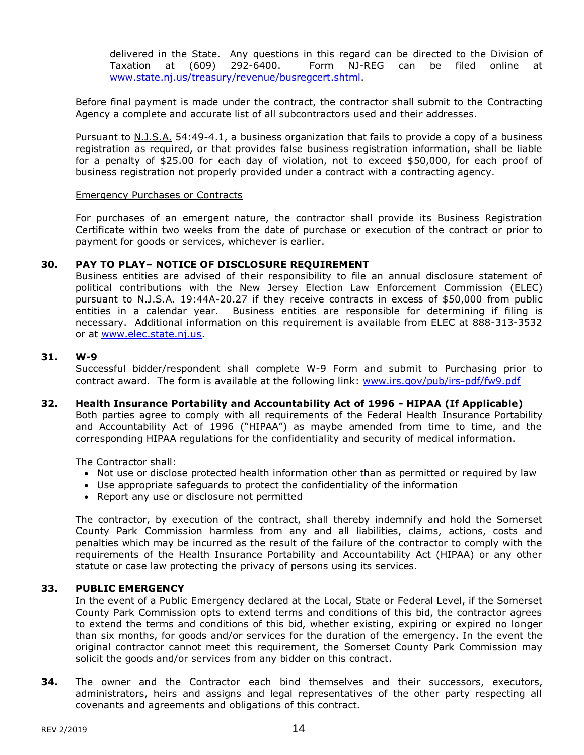delivered in the State. Any questions in this regard can be directed to the Division of Taxation at (609) 292-6400. Form NJ-REG can be filed online at [www.state.nj.us/treasury/revenue/busregcert.shtml.](http://www.state.nj.us/treasury/revenue/busregcert.shtml)

Before final payment is made under the contract, the contractor shall submit to the Contracting Agency a complete and accurate list of all subcontractors used and their addresses.

Pursuant to N.J.S.A. 54:49-4.1, a business organization that fails to provide a copy of a business registration as required, or that provides false business registration information, shall be liable for a penalty of \$25.00 for each day of violation, not to exceed \$50,000, for each proof of business registration not properly provided under a contract with a contracting agency.

#### Emergency Purchases or Contracts

For purchases of an emergent nature, the contractor shall provide its Business Registration Certificate within two weeks from the date of purchase or execution of the contract or prior to payment for goods or services, whichever is earlier.

#### **30. PAY TO PLAY– NOTICE OF DISCLOSURE REQUIREMENT**

Business entities are advised of their responsibility to file an annual disclosure statement of political contributions with the New Jersey Election Law Enforcement Commission (ELEC) pursuant to N.J.S.A. 19:44A-20.27 if they receive contracts in excess of \$50,000 from public entities in a calendar year. Business entities are responsible for determining if filing is necessary. Additional information on this requirement is available from ELEC at 888-313-3532 or at [www.elec.state.nj.us.](http://www.elec.state.nj.us/)

#### **31. W-9**

Successful bidder/respondent shall complete W-9 Form and submit to Purchasing prior to contract award. The form is available at the following link: [www.irs.gov/pub/irs-pdf/fw9.pdf](http://www.irs.gov/pub/irs-pdf/fw9.pdf)

**32. Health Insurance Portability and Accountability Act of 1996 - HIPAA (If Applicable)** Both parties agree to comply with all requirements of the Federal Health Insurance Portability and Accountability Act of 1996 ("HIPAA") as maybe amended from time to time, and the corresponding HIPAA regulations for the confidentiality and security of medical information.

The Contractor shall:

- Not use or disclose protected health information other than as permitted or required by law
- Use appropriate safeguards to protect the confidentiality of the information
- Report any use or disclosure not permitted

The contractor, by execution of the contract, shall thereby indemnify and hold the Somerset County Park Commission harmless from any and all liabilities, claims, actions, costs and penalties which may be incurred as the result of the failure of the contractor to comply with the requirements of the Health Insurance Portability and Accountability Act (HIPAA) or any other statute or case law protecting the privacy of persons using its services.

#### **33. PUBLIC EMERGENCY**

In the event of a Public Emergency declared at the Local, State or Federal Level, if the Somerset County Park Commission opts to extend terms and conditions of this bid, the contractor agrees to extend the terms and conditions of this bid, whether existing, expiring or expired no longer than six months, for goods and/or services for the duration of the emergency. In the event the original contractor cannot meet this requirement, the Somerset County Park Commission may solicit the goods and/or services from any bidder on this contract.

**34.** The owner and the Contractor each bind themselves and their successors, executors, administrators, heirs and assigns and legal representatives of the other party respecting all covenants and agreements and obligations of this contract.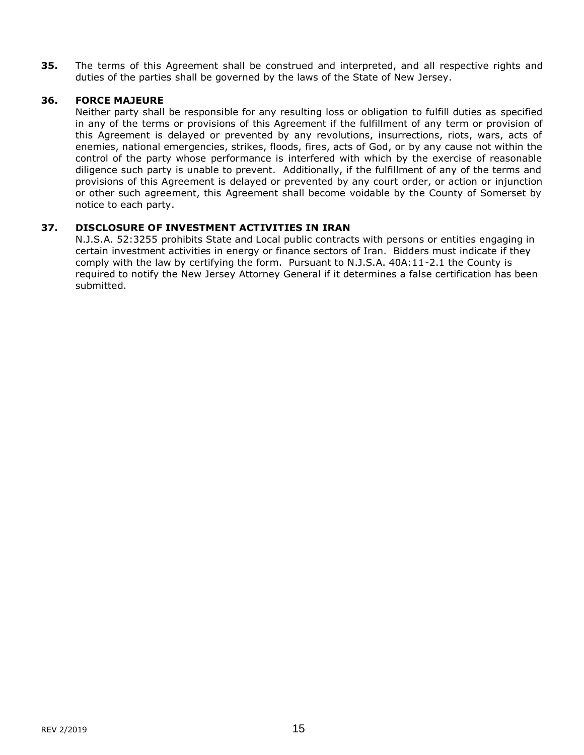**35.** The terms of this Agreement shall be construed and interpreted, and all respective rights and duties of the parties shall be governed by the laws of the State of New Jersey.

### **36. FORCE MAJEURE**

Neither party shall be responsible for any resulting loss or obligation to fulfill duties as specified in any of the terms or provisions of this Agreement if the fulfillment of any term or provision of this Agreement is delayed or prevented by any revolutions, insurrections, riots, wars, acts of enemies, national emergencies, strikes, floods, fires, acts of God, or by any cause not within the control of the party whose performance is interfered with which by the exercise of reasonable diligence such party is unable to prevent. Additionally, if the fulfillment of any of the terms and provisions of this Agreement is delayed or prevented by any court order, or action or injunction or other such agreement, this Agreement shall become voidable by the County of Somerset by notice to each party.

# **37. DISCLOSURE OF INVESTMENT ACTIVITIES IN IRAN**

N.J.S.A. 52:3255 prohibits State and Local public contracts with persons or entities engaging in certain investment activities in energy or finance sectors of Iran. Bidders must indicate if they comply with the law by certifying the form. Pursuant to N.J.S.A. 40A:11-2.1 the County is required to notify the New Jersey Attorney General if it determines a false certification has been submitted.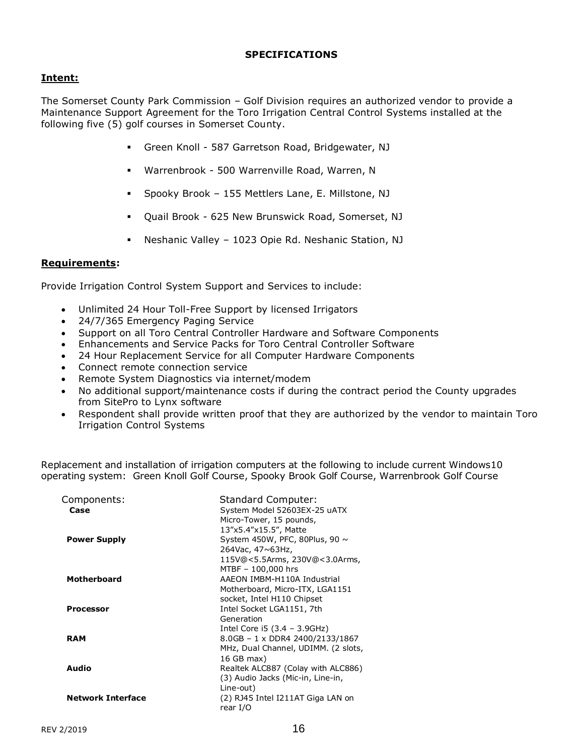### **SPECIFICATIONS**

# **Intent:**

The Somerset County Park Commission – Golf Division requires an authorized vendor to provide a Maintenance Support Agreement for the Toro Irrigation Central Control Systems installed at the following five (5) golf courses in Somerset County.

- Green Knoll 587 Garretson Road, Bridgewater, NJ
- Warrenbrook 500 Warrenville Road, Warren, N
- Spooky Brook 155 Mettlers Lane, E. Millstone, NJ
- Quail Brook 625 New Brunswick Road, Somerset, NJ
- Neshanic Valley 1023 Opie Rd. Neshanic Station, NJ

#### **Requirements:**

Provide Irrigation Control System Support and Services to include:

- Unlimited 24 Hour Toll-Free Support by licensed Irrigators
- 24/7/365 Emergency Paging Service
- Support on all Toro Central Controller Hardware and Software Components
- Enhancements and Service Packs for Toro Central Controller Software
- 24 Hour Replacement Service for all Computer Hardware Components
- Connect remote connection service
- Remote System Diagnostics via internet/modem
- No additional support/maintenance costs if during the contract period the County upgrades from SitePro to Lynx software
- Respondent shall provide written proof that they are authorized by the vendor to maintain Toro Irrigation Control Systems

Replacement and installation of irrigation computers at the following to include current Windows10 operating system: Green Knoll Golf Course, Spooky Brook Golf Course, Warrenbrook Golf Course

| Components:<br>Case      | <b>Standard Computer:</b><br>System Model 52603EX-25 uATX<br>Micro-Tower, 15 pounds,  |
|--------------------------|---------------------------------------------------------------------------------------|
| <b>Power Supply</b>      | 13"x5.4"x15.5", Matte<br>System 450W, PFC, 80Plus, 90 $\sim$<br>264Vac, 47~63Hz,      |
|                          | 115V@<5.5Arms, 230V@<3.0Arms,<br>MTBF - 100,000 hrs                                   |
| <b>Motherboard</b>       | AAEON IMBM-H110A Industrial<br>Motherboard, Micro-ITX, LGA1151                        |
|                          | socket, Intel H110 Chipset                                                            |
| <b>Processor</b>         | Intel Socket LGA1151, 7th<br>Generation                                               |
|                          | Intel Core $i5(3.4 - 3.9GHz)$                                                         |
| <b>RAM</b>               | 8.0GB - 1 x DDR4 2400/2133/1867<br>MHz, Dual Channel, UDIMM. (2 slots,                |
| Audio                    | 16 GB max)<br>Realtek ALC887 (Colay with ALC886)<br>(3) Audio Jacks (Mic-in, Line-in, |
| <b>Network Interface</b> | Line-out)<br>(2) RJ45 Intel I211AT Giga LAN on<br>rear $I/O$                          |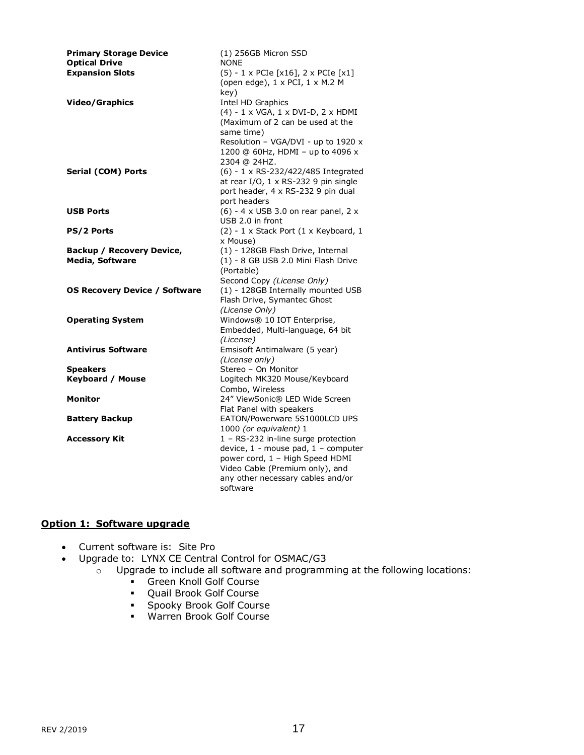| <b>Primary Storage Device</b><br><b>Optical Drive</b>      | (1) 256GB Micron SSD<br><b>NONE</b>                                                                                                                                                                  |
|------------------------------------------------------------|------------------------------------------------------------------------------------------------------------------------------------------------------------------------------------------------------|
| <b>Expansion Slots</b>                                     | (5) - 1 x PCIe [x16], 2 x PCIe [x1]<br>(open edge), 1 x PCI, 1 x M.2 M<br>key)                                                                                                                       |
| <b>Video/Graphics</b>                                      | Intel HD Graphics<br>(4) - 1 x VGA, 1 x DVI-D, 2 x HDMI<br>(Maximum of 2 can be used at the<br>same time)<br>Resolution - VGA/DVI - up to 1920 x<br>1200 @ 60Hz, HDMI - up to 4096 x<br>2304 @ 24HZ. |
| Serial (COM) Ports                                         | (6) - 1 x RS-232/422/485 Integrated<br>at rear I/O, 1 x RS-232 9 pin single<br>port header, 4 x RS-232 9 pin dual<br>port headers                                                                    |
| <b>USB Ports</b>                                           | (6) - 4 x USB 3.0 on rear panel, 2 x<br>USB 2.0 in front                                                                                                                                             |
| PS/2 Ports                                                 | (2) - 1 x Stack Port (1 x Keyboard, 1<br>x Mouse)                                                                                                                                                    |
| <b>Backup / Recovery Device,</b><br><b>Media, Software</b> | (1) - 128GB Flash Drive, Internal<br>(1) - 8 GB USB 2.0 Mini Flash Drive<br>(Portable)<br>Second Copy (License Only)                                                                                 |
| <b>OS Recovery Device / Software</b>                       | (1) - 128GB Internally mounted USB<br>Flash Drive, Symantec Ghost<br>(License Only)                                                                                                                  |
| <b>Operating System</b>                                    | Windows® 10 IOT Enterprise,<br>Embedded, Multi-language, 64 bit<br>(License)                                                                                                                         |
| <b>Antivirus Software</b>                                  | Emsisoft Antimalware (5 year)<br>(License only)                                                                                                                                                      |
| <b>Speakers</b><br><b>Keyboard / Mouse</b>                 | Stereo - On Monitor<br>Logitech MK320 Mouse/Keyboard<br>Combo, Wireless                                                                                                                              |
| <b>Monitor</b>                                             | 24" ViewSonic® LED Wide Screen<br>Flat Panel with speakers                                                                                                                                           |
| <b>Battery Backup</b>                                      | EATON/Powerware 5S1000LCD UPS<br>1000 (or equivalent) 1                                                                                                                                              |
| <b>Accessory Kit</b>                                       | 1 - RS-232 in-line surge protection<br>device, 1 - mouse pad, 1 - computer<br>power cord, 1 - High Speed HDMI<br>Video Cable (Premium only), and<br>any other necessary cables and/or<br>software    |

#### **Option 1: Software upgrade**

- Current software is: Site Pro
- Upgrade to: LYNX CE Central Control for OSMAC/G3
	- o Upgrade to include all software and programming at the following locations:
		- **•** Green Knoll Golf Course
		- Quail Brook Golf Course
		- Spooky Brook Golf Course
		- Warren Brook Golf Course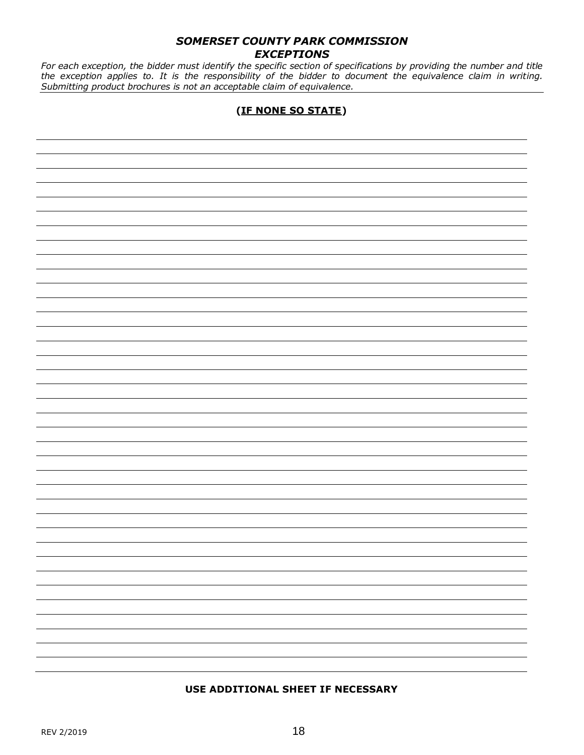# *SOMERSET COUNTY PARK COMMISSION EXCEPTIONS*

*For each exception, the bidder must identify the specific section of specifications by providing the number and title the exception applies to. It is the responsibility of the bidder to document the equivalence claim in writing. Submitting product brochures is not an acceptable claim of equivalence.*

# **(IF NONE SO STATE)**

**USE ADDITIONAL SHEET IF NECESSARY**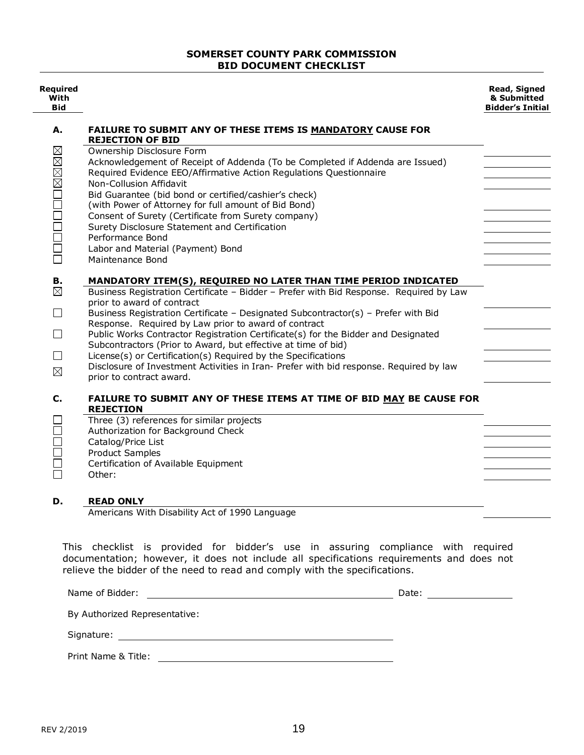#### **SOMERSET COUNTY PARK COMMISSION BID DOCUMENT CHECKLIST**

| Bid                      |                                                                                                                                                    | Read, Signed<br>& Submitted<br><b>Bidder's Initial</b> |
|--------------------------|----------------------------------------------------------------------------------------------------------------------------------------------------|--------------------------------------------------------|
| А.                       | FAILURE TO SUBMIT ANY OF THESE ITEMS IS MANDATORY CAUSE FOR                                                                                        |                                                        |
| $\boxtimes$              | <b>REJECTION OF BID</b><br>Ownership Disclosure Form                                                                                               |                                                        |
|                          | Acknowledgement of Receipt of Addenda (To be Completed if Addenda are Issued)                                                                      |                                                        |
| <b>NNN</b>               | Required Evidence EEO/Affirmative Action Regulations Questionnaire                                                                                 |                                                        |
|                          | Non-Collusion Affidavit                                                                                                                            |                                                        |
|                          | Bid Guarantee (bid bond or certified/cashier's check)                                                                                              |                                                        |
| $\Box$                   | (with Power of Attorney for full amount of Bid Bond)                                                                                               |                                                        |
|                          | Consent of Surety (Certificate from Surety company)                                                                                                |                                                        |
| 88<br>8                  | Surety Disclosure Statement and Certification                                                                                                      |                                                        |
|                          | Performance Bond                                                                                                                                   |                                                        |
|                          | Labor and Material (Payment) Bond                                                                                                                  |                                                        |
|                          | Maintenance Bond                                                                                                                                   |                                                        |
| В.                       | MANDATORY ITEM(S), REQUIRED NO LATER THAN TIME PERIOD INDICATED                                                                                    |                                                        |
| $\boxtimes$              | Business Registration Certificate - Bidder - Prefer with Bid Response. Required by Law                                                             |                                                        |
|                          | prior to award of contract                                                                                                                         |                                                        |
| $\overline{\phantom{a}}$ | Business Registration Certificate - Designated Subcontractor(s) - Prefer with Bid                                                                  |                                                        |
| $\sim$                   | Response. Required by Law prior to award of contract                                                                                               |                                                        |
|                          | Public Works Contractor Registration Certificate(s) for the Bidder and Designated<br>Subcontractors (Prior to Award, but effective at time of bid) |                                                        |
| $\sim$                   | License(s) or Certification(s) Required by the Specifications                                                                                      |                                                        |
|                          | Disclosure of Investment Activities in Iran- Prefer with bid response. Required by law                                                             |                                                        |
| $\boxtimes$              | prior to contract award.                                                                                                                           |                                                        |
| C.                       | FAILURE TO SUBMIT ANY OF THESE ITEMS AT TIME OF BID MAY BE CAUSE FOR<br><b>REJECTION</b>                                                           |                                                        |
|                          | Three (3) references for similar projects                                                                                                          |                                                        |
|                          | Authorization for Background Check                                                                                                                 |                                                        |
|                          | Catalog/Price List                                                                                                                                 |                                                        |
|                          | <b>Product Samples</b>                                                                                                                             |                                                        |
|                          | Certification of Available Equipment                                                                                                               |                                                        |
|                          | Other:                                                                                                                                             |                                                        |
|                          |                                                                                                                                                    |                                                        |
| D.                       | <b>READ ONLY</b>                                                                                                                                   |                                                        |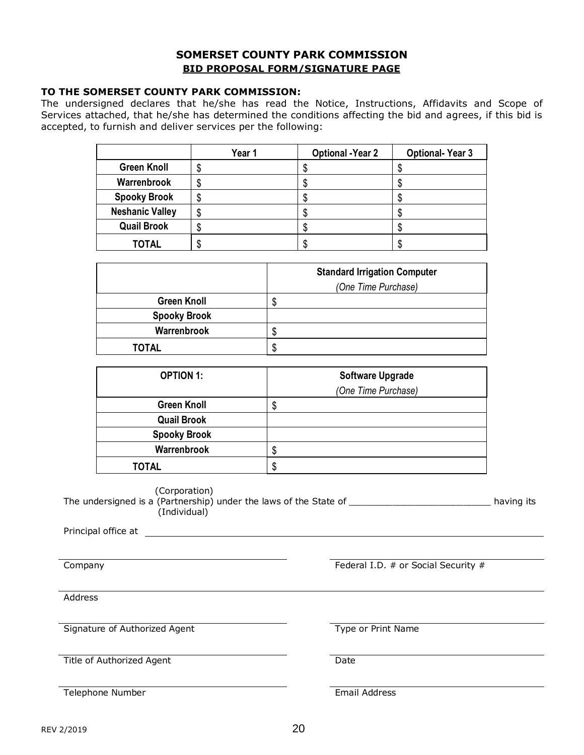# **SOMERSET COUNTY PARK COMMISSION BID PROPOSAL FORM/SIGNATURE PAGE**

#### **TO THE SOMERSET COUNTY PARK COMMISSION:**

The undersigned declares that he/she has read the Notice, Instructions, Affidavits and Scope of Services attached, that he/she has determined the conditions affecting the bid and agrees, if this bid is accepted, to furnish and deliver services per the following:

|                        | Year 1 | <b>Optional -Year 2</b> | <b>Optional-Year 3</b> |
|------------------------|--------|-------------------------|------------------------|
| <b>Green Knoll</b>     | \$     | ۰D                      | ۰D                     |
| Warrenbrook            | \$     | ۰D                      | J                      |
| <b>Spooky Brook</b>    | \$     | ۰D                      | ۰D                     |
| <b>Neshanic Valley</b> | \$     |                         | ۰D                     |
| <b>Quail Brook</b>     | S      |                         | ۰D                     |
| TOTAL                  |        |                         | Φ                      |

|                     | <b>Standard Irrigation Computer</b> |  |  |
|---------------------|-------------------------------------|--|--|
|                     | (One Time Purchase)                 |  |  |
| <b>Green Knoll</b>  | ۰D                                  |  |  |
| <b>Spooky Brook</b> |                                     |  |  |
| Warrenbrook         | ۰D                                  |  |  |
| TOTAL               |                                     |  |  |

| <b>OPTION 1:</b>    | <b>Software Upgrade</b> |  |
|---------------------|-------------------------|--|
|                     | (One Time Purchase)     |  |
| <b>Green Knoll</b>  |                         |  |
| <b>Quail Brook</b>  |                         |  |
| <b>Spooky Brook</b> |                         |  |
| Warrenbrook         | ۰D                      |  |
| TOTAL               |                         |  |

 (Corporation) The undersigned is a (Partnership) under the laws of the State of \_\_\_\_\_\_\_\_\_\_\_\_\_\_\_\_\_\_\_\_\_\_\_\_\_\_ having its (Individual)

Principal office at

Company **Federal I.D. # or Social Security #** 

Address

Signature of Authorized Agent Type or Print Name

Title of Authorized Agent Date

Telephone Number **Email Address**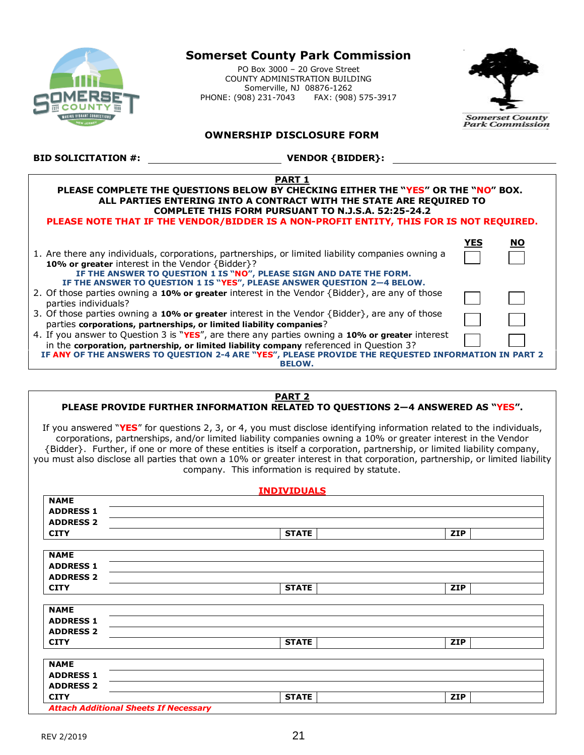

# **Somerset County Park Commission**

PO Box 3000 – 20 Grove Street COUNTY ADMINISTRATION BUILDING Somerville, NJ 08876-1262 PHONE: (908) 231-7043



### **OWNERSHIP DISCLOSURE FORM**

**BID SOLICITATION #: VENDOR {BIDDER}:**

| <b>PART 1</b>                                                                                       |     |           |
|-----------------------------------------------------------------------------------------------------|-----|-----------|
| PLEASE COMPLETE THE QUESTIONS BELOW BY CHECKING EITHER THE "YES" OR THE "NO" BOX.                   |     |           |
| ALL PARTIES ENTERING INTO A CONTRACT WITH THE STATE ARE REQUIRED TO                                 |     |           |
| <b>COMPLETE THIS FORM PURSUANT TO N.J.S.A. 52:25-24.2</b>                                           |     |           |
| PLEASE NOTE THAT IF THE VENDOR/BIDDER IS A NON-PROFIT ENTITY, THIS FOR IS NOT REQUIRED.             |     |           |
|                                                                                                     |     |           |
|                                                                                                     | YES | <b>NO</b> |
| 1. Are there any individuals, corporations, partnerships, or limited liability companies owning a   |     |           |
| 10% or greater interest in the Vendor {Bidder}?                                                     |     |           |
| IF THE ANSWER TO QUESTION 1 IS "NO", PLEASE SIGN AND DATE THE FORM.                                 |     |           |
| IF THE ANSWER TO QUESTION 1 IS "YES", PLEASE ANSWER QUESTION 2-4 BELOW.                             |     |           |
| 2. Of those parties owning a 10% or greater interest in the Vendor $\{Bidder\}$ , are any of those  |     |           |
| parties individuals?                                                                                |     |           |
| 3. Of those parties owning a 10% or greater interest in the Vendor $\{Bidder\}$ , are any of those  |     |           |
| parties corporations, partnerships, or limited liability companies?                                 |     |           |
| 4. If you answer to Question 3 is "YES", are there any parties owning a 10% or greater interest     |     |           |
| in the corporation, partnership, or limited liability company referenced in Question 3?             |     |           |
| IF ANY OF THE ANSWERS TO QUESTION 2-4 ARE "YES", PLEASE PROVIDE THE REQUESTED INFORMATION IN PART 2 |     |           |
| <b>BELOW.</b>                                                                                       |     |           |

# **PART 2**

**PLEASE PROVIDE FURTHER INFORMATION RELATED TO QUESTIONS 2—4 ANSWERED AS "YES".**

If you answered "**YES**" for questions 2, 3, or 4, you must disclose identifying information related to the individuals, corporations, partnerships, and/or limited liability companies owning a 10% or greater interest in the Vendor {Bidder}. Further, if one or more of these entities is itself a corporation, partnership, or limited liability company, you must also disclose all parties that own a 10% or greater interest in that corporation, partnership, or limited liability company. This information is required by statute.

|                                                             | <b>INDIVIDUALS</b> |            |
|-------------------------------------------------------------|--------------------|------------|
| <b>NAME</b>                                                 |                    |            |
| <b>ADDRESS 1</b>                                            |                    |            |
| <b>ADDRESS 2</b>                                            |                    |            |
| <b>CITY</b>                                                 | <b>STATE</b>       | <b>ZIP</b> |
| <b>NAME</b>                                                 |                    |            |
|                                                             |                    |            |
| <b>ADDRESS 1</b>                                            |                    |            |
| <b>ADDRESS 2</b>                                            |                    |            |
| <b>CITY</b>                                                 | <b>STATE</b>       | <b>ZIP</b> |
| <b>NAME</b>                                                 |                    |            |
| <b>ADDRESS 1</b>                                            |                    |            |
| <b>ADDRESS 2</b>                                            |                    |            |
| <b>CITY</b>                                                 | <b>STATE</b>       | <b>ZIP</b> |
| <b>NAME</b>                                                 |                    |            |
|                                                             |                    |            |
| <b>ADDRESS 1</b>                                            |                    |            |
| <b>ADDRESS 2</b>                                            |                    |            |
| <b>CITY</b><br><b>Attach Additional Sheets If Necessary</b> | <b>STATE</b>       | ZIP        |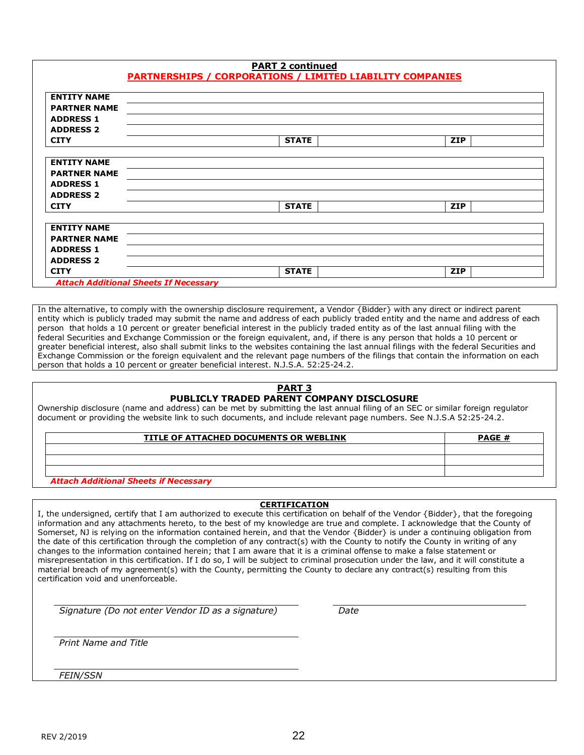| <b>PART 2 continued</b><br><b>PARTNERSHIPS / CORPORATIONS / LIMITED LIABILITY COMPANIES</b> |              |            |
|---------------------------------------------------------------------------------------------|--------------|------------|
| <b>ENTITY NAME</b>                                                                          |              |            |
| <b>PARTNER NAME</b>                                                                         |              |            |
| <b>ADDRESS 1</b>                                                                            |              |            |
| <b>ADDRESS 2</b>                                                                            |              |            |
| <b>CITY</b>                                                                                 | <b>STATE</b> | <b>ZIP</b> |
| <b>ENTITY NAME</b>                                                                          |              |            |
| <b>PARTNER NAME</b>                                                                         |              |            |
| <b>ADDRESS 1</b>                                                                            |              |            |
| <b>ADDRESS 2</b>                                                                            |              |            |
| <b>CITY</b>                                                                                 | <b>STATE</b> | <b>ZIP</b> |
|                                                                                             |              |            |
| <b>ENTITY NAME</b>                                                                          |              |            |
| <b>PARTNER NAME</b>                                                                         |              |            |
| <b>ADDRESS 1</b>                                                                            |              |            |
| <b>ADDRESS 2</b>                                                                            |              |            |
| <b>CITY</b>                                                                                 | <b>STATE</b> | <b>ZIP</b> |

In the alternative, to comply with the ownership disclosure requirement, a Vendor {Bidder} with any direct or indirect parent entity which is publicly traded may submit the name and address of each publicly traded entity and the name and address of each person that holds a 10 percent or greater beneficial interest in the publicly traded entity as of the last annual filing with the federal Securities and Exchange Commission or the foreign equivalent, and, if there is any person that holds a 10 percent or greater beneficial interest, also shall submit links to the websites containing the last annual filings with the federal Securities and Exchange Commission or the foreign equivalent and the relevant page numbers of the filings that contain the information on each person that holds a 10 percent or greater beneficial interest. N.J.S.A. 52:25-24.2.

#### **PART 3 PUBLICLY TRADED PARENT COMPANY DISCLOSURE**

Ownership disclosure (name and address) can be met by submitting the last annual filing of an SEC or similar foreign regulator document or providing the website link to such documents, and include relevant page numbers. See N.J.S.A 52:25-24.2.

| TITLE OF ATTACHED DOCUMENTS OR WEBLINK | <b>PAGE #</b> |
|----------------------------------------|---------------|
|                                        |               |
|                                        |               |
|                                        |               |

#### **CERTIFICATION**

I, the undersigned, certify that I am authorized to execute this certification on behalf of the Vendor {Bidder}, that the foregoing information and any attachments hereto, to the best of my knowledge are true and complete. I acknowledge that the County of Somerset, NJ is relying on the information contained herein, and that the Vendor {Bidder} is under a continuing obligation from the date of this certification through the completion of any contract(s) with the County to notify the County in writing of any changes to the information contained herein; that I am aware that it is a criminal offense to make a false statement or misrepresentation in this certification. If I do so, I will be subject to criminal prosecution under the law, and it will constitute a material breach of my agreement(s) with the County, permitting the County to declare any contract(s) resulting from this certification void and unenforceable.

*Signature (Do not enter Vendor ID as a signature) Date*

*Print Name and Title*

*FEIN/SSN*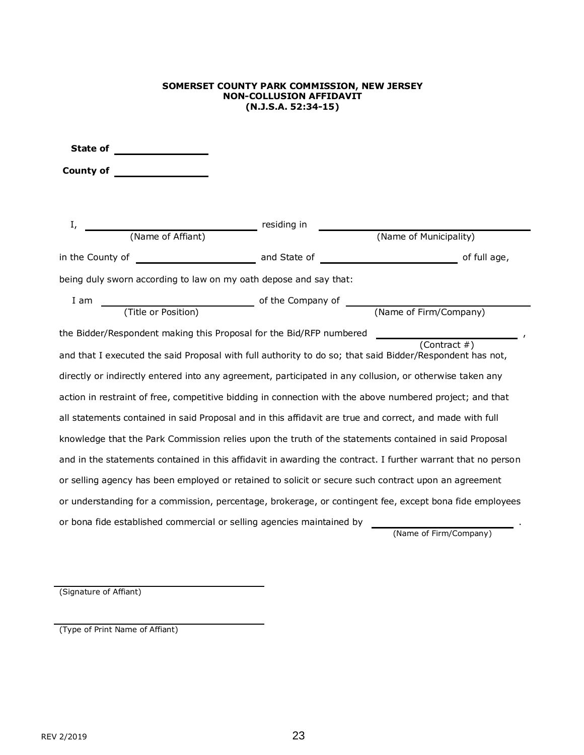#### **SOMERSET COUNTY PARK COMMISSION, NEW JERSEY NON-COLLUSION AFFIDAVIT (N.J.S.A. 52:34-15)**

| <b>State of</b>                                                                                                                                                                                                                                             |             |                        |
|-------------------------------------------------------------------------------------------------------------------------------------------------------------------------------------------------------------------------------------------------------------|-------------|------------------------|
| <b>County of</b>                                                                                                                                                                                                                                            |             |                        |
|                                                                                                                                                                                                                                                             |             |                        |
|                                                                                                                                                                                                                                                             |             |                        |
| I,<br>(Name of Affiant)                                                                                                                                                                                                                                     | residing in | (Name of Municipality) |
| in the County of <b>Example 2</b> and State of <b>All 2</b> and State of <b>All 2</b> and State of <b>All 2</b> and State of <b>All 2</b> and State of <b>All 2</b> and 2 and 2 and 2 and 2 and 2 and 2 and 2 and 2 and 2 and 2 and 2 and 2 and 2 and 2 and |             | of full age,           |
| being duly sworn according to law on my oath depose and say that:                                                                                                                                                                                           |             |                        |
| I am                                                                                                                                                                                                                                                        |             |                        |
|                                                                                                                                                                                                                                                             |             |                        |
| the Bidder/Respondent making this Proposal for the Bid/RFP numbered                                                                                                                                                                                         |             |                        |
| and that I executed the said Proposal with full authority to do so; that said Bidder/Respondent has not,                                                                                                                                                    |             | $(Contract$ #)         |
| directly or indirectly entered into any agreement, participated in any collusion, or otherwise taken any                                                                                                                                                    |             |                        |
| action in restraint of free, competitive bidding in connection with the above numbered project; and that                                                                                                                                                    |             |                        |
| all statements contained in said Proposal and in this affidavit are true and correct, and made with full                                                                                                                                                    |             |                        |
| knowledge that the Park Commission relies upon the truth of the statements contained in said Proposal                                                                                                                                                       |             |                        |
| and in the statements contained in this affidavit in awarding the contract. I further warrant that no person                                                                                                                                                |             |                        |
| or selling agency has been employed or retained to solicit or secure such contract upon an agreement                                                                                                                                                        |             |                        |
| or understanding for a commission, percentage, brokerage, or contingent fee, except bona fide employees                                                                                                                                                     |             |                        |
| or bona fide established commercial or selling agencies maintained by                                                                                                                                                                                       |             |                        |
|                                                                                                                                                                                                                                                             |             | (Name of Firm/Company) |

(Signature of Affiant)

(Type of Print Name of Affiant)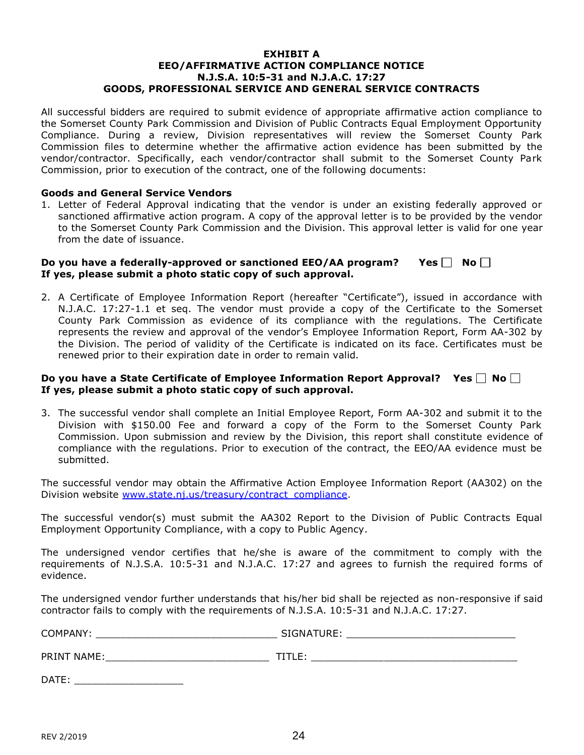#### **EXHIBIT A EEO/AFFIRMATIVE ACTION COMPLIANCE NOTICE N.J.S.A. 10:5-31 and N.J.A.C. 17:27 GOODS, PROFESSIONAL SERVICE AND GENERAL SERVICE CONTRACTS**

All successful bidders are required to submit evidence of appropriate affirmative action compliance to the Somerset County Park Commission and Division of Public Contracts Equal Employment Opportunity Compliance. During a review, Division representatives will review the Somerset County Park Commission files to determine whether the affirmative action evidence has been submitted by the vendor/contractor. Specifically, each vendor/contractor shall submit to the Somerset County Park Commission, prior to execution of the contract, one of the following documents:

#### **Goods and General Service Vendors**

1. Letter of Federal Approval indicating that the vendor is under an existing federally approved or sanctioned affirmative action program. A copy of the approval letter is to be provided by the vendor to the Somerset County Park Commission and the Division. This approval letter is valid for one year from the date of issuance.

#### **Do you have a federally-approved or sanctioned EEO/AA program? Yes**  $\Box$  **No**  $\Box$ **If yes, please submit a photo static copy of such approval.**

2. A Certificate of Employee Information Report (hereafter "Certificate"), issued in accordance with N.J.A.C. 17:27-1.1 et seq. The vendor must provide a copy of the Certificate to the Somerset County Park Commission as evidence of its compliance with the regulations. The Certificate represents the review and approval of the vendor's Employee Information Report, Form AA-302 by the Division. The period of validity of the Certificate is indicated on its face. Certificates must be renewed prior to their expiration date in order to remain valid.

#### **Do you have a State Certificate of Employee Information Report Approval? Yes**  $\Box$  **No**  $\Box$ **If yes, please submit a photo static copy of such approval.**

3. The successful vendor shall complete an Initial Employee Report, Form AA-302 and submit it to the Division with \$150.00 Fee and forward a copy of the Form to the Somerset County Park Commission. Upon submission and review by the Division, this report shall constitute evidence of compliance with the regulations. Prior to execution of the contract, the EEO/AA evidence must be submitted.

The successful vendor may obtain the Affirmative Action Employee Information Report (AA302) on the Division website [www.state.nj.us/treasury/contract\\_compliance.](http://www.state.nj.us/treasury/contract_compliance)

The successful vendor(s) must submit the AA302 Report to the Division of Public Contracts Equal Employment Opportunity Compliance, with a copy to Public Agency.

The undersigned vendor certifies that he/she is aware of the commitment to comply with the requirements of N.J.S.A. 10:5-31 and N.J.A.C. 17:27 and agrees to furnish the required forms of evidence.

The undersigned vendor further understands that his/her bid shall be rejected as non-responsive if said contractor fails to comply with the requirements of N.J.S.A. 10:5-31 and N.J.A.C. 17:27.

| COMPANY:           | SIGNATURE: |  |  |  |
|--------------------|------------|--|--|--|
| <b>PRINT NAME:</b> | --         |  |  |  |

DATE: \_\_\_\_\_\_\_\_\_\_\_\_\_\_\_\_\_\_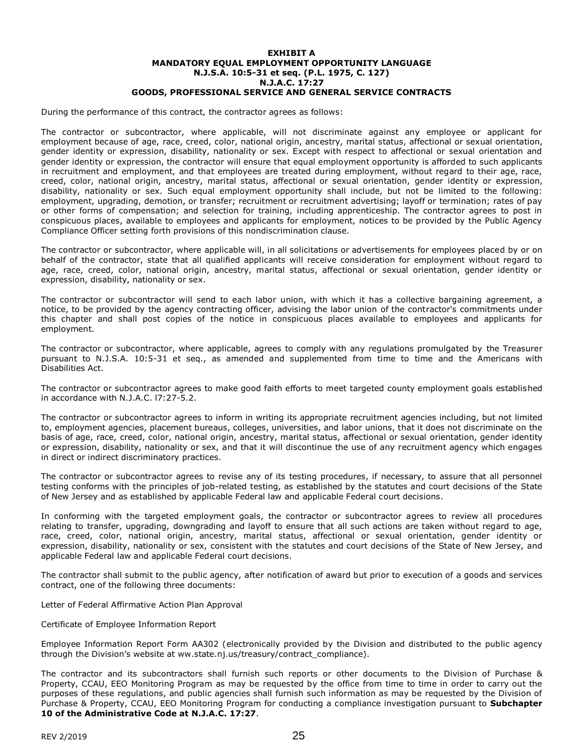#### **EXHIBIT A MANDATORY EQUAL EMPLOYMENT OPPORTUNITY LANGUAGE N.J.S.A. 10:5-31 et seq. (P.L. 1975, C. 127) N.J.A.C. 17:27 GOODS, PROFESSIONAL SERVICE AND GENERAL SERVICE CONTRACTS**

During the performance of this contract, the contractor agrees as follows:

The contractor or subcontractor, where applicable, will not discriminate against any employee or applicant for employment because of age, race, creed, color, national origin, ancestry, marital status, affectional or sexual orientation, gender identity or expression, disability, nationality or sex. Except with respect to affectional or sexual orientation and gender identity or expression, the contractor will ensure that equal employment opportunity is afforded to such applicants in recruitment and employment, and that employees are treated during employment, without regard to their age, race, creed, color, national origin, ancestry, marital status, affectional or sexual orientation, gender identity or expression, disability, nationality or sex. Such equal employment opportunity shall include, but not be limited to the following: employment, upgrading, demotion, or transfer; recruitment or recruitment advertising; layoff or termination; rates of pay or other forms of compensation; and selection for training, including apprenticeship. The contractor agrees to post in conspicuous places, available to employees and applicants for employment, notices to be provided by the Public Agency Compliance Officer setting forth provisions of this nondiscrimination clause.

The contractor or subcontractor, where applicable will, in all solicitations or advertisements for employees placed by or on behalf of the contractor, state that all qualified applicants will receive consideration for employment without regard to age, race, creed, color, national origin, ancestry, marital status, affectional or sexual orientation, gender identity or expression, disability, nationality or sex.

The contractor or subcontractor will send to each labor union, with which it has a collective bargaining agreement, a notice, to be provided by the agency contracting officer, advising the labor union of the contractor's commitments under this chapter and shall post copies of the notice in conspicuous places available to employees and applicants for employment.

The contractor or subcontractor, where applicable, agrees to comply with any regulations promulgated by the Treasurer pursuant to N.J.S.A. 10:5-31 et seq., as amended and supplemented from time to time and the Americans with Disabilities Act.

The contractor or subcontractor agrees to make good faith efforts to meet targeted county employment goals established in accordance with N.J.A.C. l7:27-5.2.

The contractor or subcontractor agrees to inform in writing its appropriate recruitment agencies including, but not limited to, employment agencies, placement bureaus, colleges, universities, and labor unions, that it does not discriminate on the basis of age, race, creed, color, national origin, ancestry, marital status, affectional or sexual orientation, gender identity or expression, disability, nationality or sex, and that it will discontinue the use of any recruitment agency which engages in direct or indirect discriminatory practices.

The contractor or subcontractor agrees to revise any of its testing procedures, if necessary, to assure that all personnel testing conforms with the principles of job-related testing, as established by the statutes and court decisions of the State of New Jersey and as established by applicable Federal law and applicable Federal court decisions.

In conforming with the targeted employment goals, the contractor or subcontractor agrees to review all procedures relating to transfer, upgrading, downgrading and layoff to ensure that all such actions are taken without regard to age, race, creed, color, national origin, ancestry, marital status, affectional or sexual orientation, gender identity or expression, disability, nationality or sex, consistent with the statutes and court decisions of the State of New Jersey, and applicable Federal law and applicable Federal court decisions.

The contractor shall submit to the public agency, after notification of award but prior to execution of a goods and services contract, one of the following three documents:

Letter of Federal Affirmative Action Plan Approval

Certificate of Employee Information Report

Employee Information Report Form AA302 (electronically provided by the Division and distributed to the public agency through the Division's website at ww.state.nj.us/treasury/contract\_compliance).

The contractor and its subcontractors shall furnish such reports or other documents to the Division of Purchase & Property, CCAU, EEO Monitoring Program as may be requested by the office from time to time in order to carry out the purposes of these regulations, and public agencies shall furnish such information as may be requested by the Division of Purchase & Property, CCAU, EEO Monitoring Program for conducting a compliance investigation pursuant to **Subchapter 10 of the Administrative Code at N.J.A.C. 17:27**.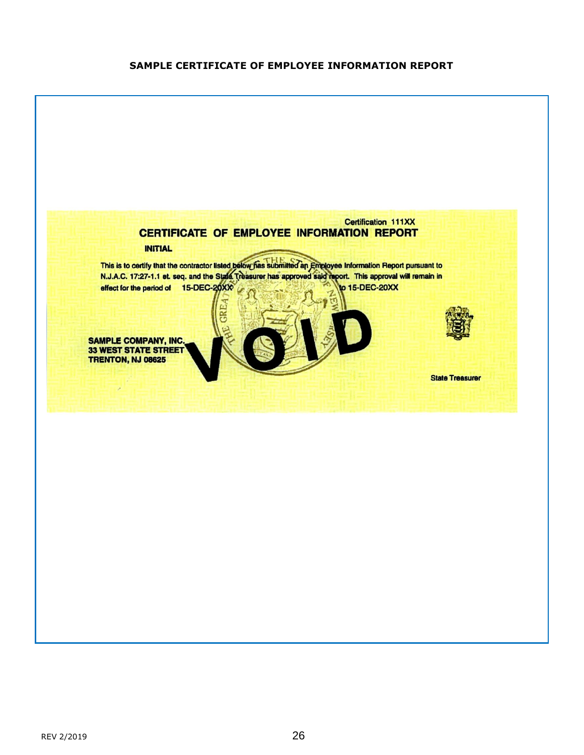# **SAMPLE CERTIFICATE OF EMPLOYEE INFORMATION REPORT**

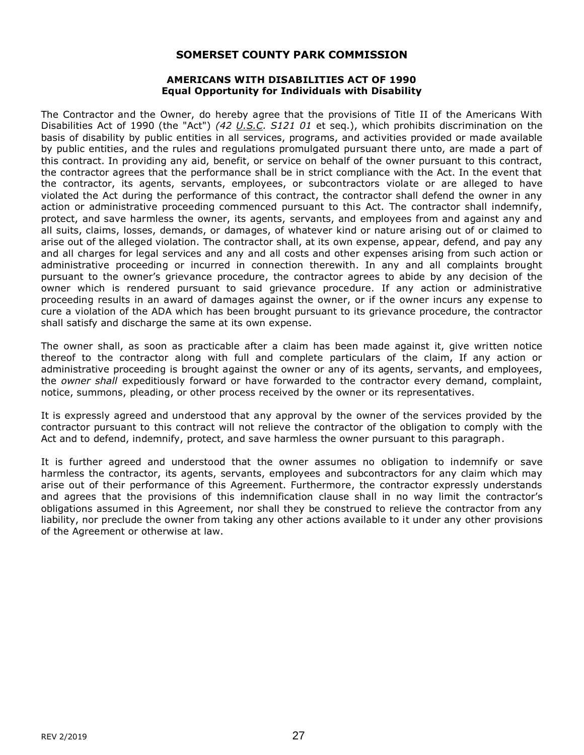#### **AMERICANS WITH DISABILITIES ACT OF 1990 Equal Opportunity for Individuals with Disability**

The Contractor and the Owner, do hereby agree that the provisions of Title II of the Americans With Disabilities Act of 1990 (the "Act") *(42 U.S.C. S121 01* et seq.), which prohibits discrimination on the basis of disability by public entities in all services, programs, and activities provided or made available by public entities, and the rules and regulations promulgated pursuant there unto, are made a part of this contract. In providing any aid, benefit, or service on behalf of the owner pursuant to this contract, the contractor agrees that the performance shall be in strict compliance with the Act. In the event that the contractor, its agents, servants, employees, or subcontractors violate or are alleged to have violated the Act during the performance of this contract, the contractor shall defend the owner in any action or administrative proceeding commenced pursuant to this Act. The contractor shall indemnify, protect, and save harmless the owner, its agents, servants, and employees from and against any and all suits, claims, losses, demands, or damages, of whatever kind or nature arising out of or claimed to arise out of the alleged violation. The contractor shall, at its own expense, appear, defend, and pay any and all charges for legal services and any and all costs and other expenses arising from such action or administrative proceeding or incurred in connection therewith. In any and all complaints brought pursuant to the owner's grievance procedure, the contractor agrees to abide by any decision of the owner which is rendered pursuant to said grievance procedure. If any action or administrative proceeding results in an award of damages against the owner, or if the owner incurs any expense to cure a violation of the ADA which has been brought pursuant to its grievance procedure, the contractor shall satisfy and discharge the same at its own expense.

The owner shall, as soon as practicable after a claim has been made against it, give written notice thereof to the contractor along with full and complete particulars of the claim, If any action or administrative proceeding is brought against the owner or any of its agents, servants, and employees, the *owner shall* expeditiously forward or have forwarded to the contractor every demand, complaint, notice, summons, pleading, or other process received by the owner or its representatives.

It is expressly agreed and understood that any approval by the owner of the services provided by the contractor pursuant to this contract will not relieve the contractor of the obligation to comply with the Act and to defend, indemnify, protect, and save harmless the owner pursuant to this paragraph.

It is further agreed and understood that the owner assumes no obligation to indemnify or save harmless the contractor, its agents, servants, employees and subcontractors for any claim which may arise out of their performance of this Agreement. Furthermore, the contractor expressly understands and agrees that the provisions of this indemnification clause shall in no way limit the contractor's obligations assumed in this Agreement, nor shall they be construed to relieve the contractor from any liability, nor preclude the owner from taking any other actions available to it under any other provisions of the Agreement or otherwise at law.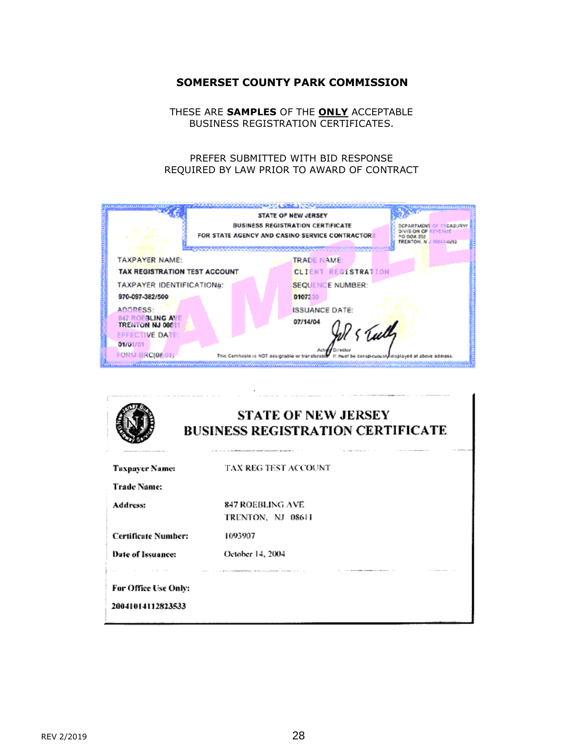THESE ARE **SAMPLES** OF THE **ONLY** ACCEPTABLE BUSINESS REGISTRATION CERTIFICATES.

# PREFER SUBMITTED WITH BID RESPONSE REQUIRED BY LAW PRIOR TO AWARD OF CONTRACT

|                                                                                              | <u>VERALER ELECTRONICATION OF LIBRARY CONTRACTOR CONTRACTOR CONTRACTOR</u>                                                                                                         |  |  |  |
|----------------------------------------------------------------------------------------------|------------------------------------------------------------------------------------------------------------------------------------------------------------------------------------|--|--|--|
|                                                                                              | STATE OF NEW JERSEY<br><b>BUSINESS REGISTRATION CERTIFICATE</b><br>DEPARTMENT OF THEASURY/<br>DIVISION OF REVERIE<br>FOR STATE AGENCY AND CASINO SERVICE CONTRACTORS<br>PO BOX 252 |  |  |  |
| TAXPAYER NAME:<br><b>TAX REGISTRATION TEST ACCOUNT</b>                                       | TRENTON, N.J. 00016-0252<br>TRADE NAME:<br><b>CLIENT REGISTRATION</b>                                                                                                              |  |  |  |
| TAXPAYER IDENTIFICATION#:<br>970-097-382/500                                                 | <b>SEQUENCE NUMBER:</b><br>0107330                                                                                                                                                 |  |  |  |
| ADDRESS:<br>847 ROEBLING AVE<br><b>TRENTON NJ 0661</b><br><b>EFFECTIVE DATE:</b><br>01/01/01 | <b>ISSUANCE DATE:</b><br>07/14/04<br>15 Tulls                                                                                                                                      |  |  |  |
| FORM-BRC(08-01)                                                                              | This Certificate is NOT assignable or transferable<br>be conspicuously displayed at above address.                                                                                 |  |  |  |

| ------<br><b>STATE OF NEW JERSEY</b><br><b>BUSINESS REGISTRATION CERTIFICATE</b><br>AT APPEALANT |                                                                                                                                                                                                        |  |  |  |  |
|--------------------------------------------------------------------------------------------------|--------------------------------------------------------------------------------------------------------------------------------------------------------------------------------------------------------|--|--|--|--|
| <b>Taxpayer Name:</b>                                                                            | The state of the property of the con-<br>The contract of the components of the con-<br>2010 12:20:20 Publishers and process committee and construction of the committee of the<br>TAX REG TEST ACCOUNT |  |  |  |  |
| <b>Trade Name:</b>                                                                               |                                                                                                                                                                                                        |  |  |  |  |
| Address:                                                                                         | 847 ROEBLING AVE<br>TRENTON, NJ 08611                                                                                                                                                                  |  |  |  |  |
| <b>Certificate Number:</b>                                                                       | 1093907                                                                                                                                                                                                |  |  |  |  |
| Date of Issuance:                                                                                | October 14, 2004                                                                                                                                                                                       |  |  |  |  |
| For Office Use Only:<br>20041014112823533                                                        | A 1979 Control of the Commission Control of the Control of Control of the Control of the Con-<br>_______________                                                                                       |  |  |  |  |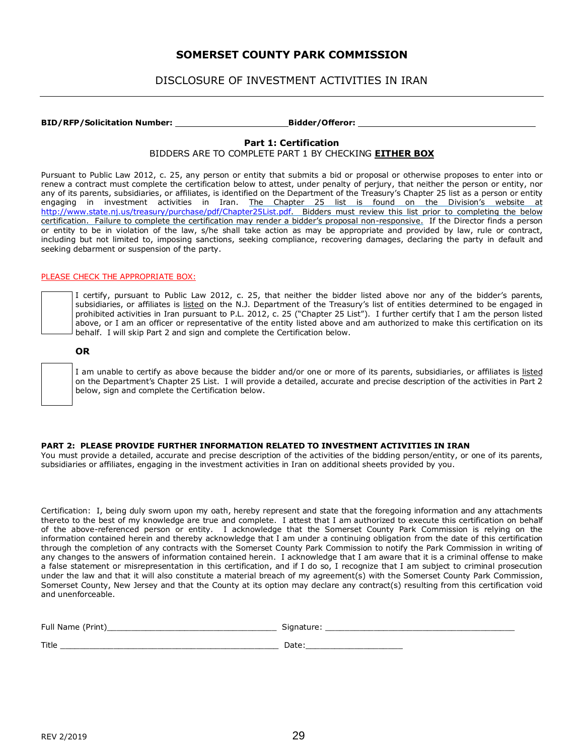# DISCLOSURE OF INVESTMENT ACTIVITIES IN IRAN

BID/RFP/Solicitation Number: \_\_\_\_\_\_\_\_\_\_\_\_\_\_\_\_\_\_\_\_\_\_\_\_\_\_\_\_\_\_\_\_\_\_Bidder/Offeror: \_\_

#### **Part 1: Certification** BIDDERS ARE TO COMPLETE PART 1 BY CHECKING **EITHER BOX**

Pursuant to Public Law 2012, c. 25, any person or entity that submits a bid or proposal or otherwise proposes to enter into or renew a contract must complete the certification below to attest, under penalty of perjury, that neither the person or entity, nor any of its parents, subsidiaries, or affiliates, is identified on the Department of the Treasury's Chapter 25 list as a person or entity engaging in investment activities in Iran. The Chapter 25 list is found on the Division's website at [http://www.state.nj.us/treasury/purchase/pdf/Chapter25List.pdf.](http://www.state.nj.us/treasury/purchase/pdf/Chapter25List.pdf) Bidders must review this list prior to completing the below certification. Failure to complete the certification may render a bidder's proposal non-responsive. If the Director finds a person or entity to be in violation of the law, s/he shall take action as may be appropriate and provided by law, rule or contract, including but not limited to, imposing sanctions, seeking compliance, recovering damages, declaring the party in default and seeking debarment or suspension of the party.

#### PLEASE CHECK THE APPROPRIATE BOX:

I certify, pursuant to Public Law 2012, c. 25, that neither the bidder listed above nor any of the bidder's parents, subsidiaries, or affiliates is listed on the N.J. Department of the Treasury's list of entities determined to be engaged in prohibited activities in Iran pursuant to P.L. 2012, c. 25 ("Chapter 25 List"). I further certify that I am the person listed above, or I am an officer or representative of the entity listed above and am authorized to make this certification on its behalf. I will skip Part 2 and sign and complete the Certification below.

#### **OR**

I am unable to certify as above because the bidder and/or one or more of its parents, subsidiaries, or affiliates is listed on the Department's Chapter 25 List. I will provide a detailed, accurate and precise description of the activities in Part 2 below, sign and complete the Certification below.

#### **PART 2: PLEASE PROVIDE FURTHER INFORMATION RELATED TO INVESTMENT ACTIVITIES IN IRAN**

You must provide a detailed, accurate and precise description of the activities of the bidding person/entity, or one of its parents, subsidiaries or affiliates, engaging in the investment activities in Iran on additional sheets provided by you.

Certification: I, being duly sworn upon my oath, hereby represent and state that the foregoing information and any attachments thereto to the best of my knowledge are true and complete. I attest that I am authorized to execute this certification on behalf of the above-referenced person or entity. I acknowledge that the Somerset County Park Commission is relying on the information contained herein and thereby acknowledge that I am under a continuing obligation from the date of this certification through the completion of any contracts with the Somerset County Park Commission to notify the Park Commission in writing of any changes to the answers of information contained herein. I acknowledge that I am aware that it is a criminal offense to make a false statement or misrepresentation in this certification, and if I do so, I recognize that I am subject to criminal prosecution under the law and that it will also constitute a material breach of my agreement(s) with the Somerset County Park Commission, Somerset County, New Jersey and that the County at its option may declare any contract(s) resulting from this certification void and unenforceable.

| Full Name<br>(Print) | Signature: |
|----------------------|------------|
|                      |            |
| Title                | Date:      |